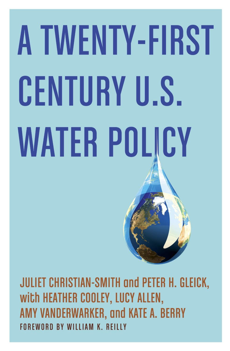# **A TWENTY-FIRST CENTURY U.S. WATER POLICY**

**JULIET CHRISTIAN-SMITH and PETER H. GLEICK,** with HEATHER COOLEY, LUCY ALLEN, AMY VANDERWARKER, and KATE A. BERRY FOREWORD BY WILLIAM K. REILLY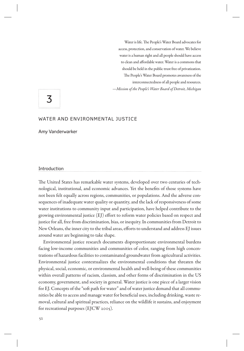Water is life. The People's Water Board advocates for access, protection, and conservation of water. We believe water is a human right and all people should have access to clean and affordable water. Water is a commons that should be held in the public trust free of privatization. The People's Water Board promotes awareness of the interconnectedness of all people and resources. *—Mission of the People's Water Board of Detroit, Michigan*

# 3

# WATER AND ENVIRONMENTAL JUSTICE

Amy Vanderwarker

#### Introduction

The United States has remarkable water systems, developed over two centuries of technological, institutional, and economic advances. Yet the benefits of those systems have not been felt equally across regions, communities, or populations. And the adverse consequences of inadequate water quality or quantity, and the lack of responsiveness of some water institutions to community input and participation, have helped contribute to the growing environmental justice (EJ) effort to reform water policies based on respect and justice for all, free from discrimination, bias, or inequity. In communities from Detroit to New Orleans, the inner city to the tribal areas, efforts to understand and address EJ issues around water are beginning to take shape.

 Environmental justice research documents disproportionate environmental burdens facing low-income communities and communities of color, ranging from high concentrations of hazardous facilities to contaminated groundwater from agricultural activities. Environmental justice contextualizes the environmental conditions that threaten the physical, social, economic, or environmental health and well-being of these communities within overall patterns of racism, classism, and other forms of discrimination in the US economy, government, and society in general. Water justice is one piece of a larger vision for EJ. Concepts of the "soft path for water" and of water justice demand that all communities be able to access and manage water for beneficial uses, including drinking, waste removal, cultural and spiritual practices, reliance on the wildlife it sustains, and enjoyment for recreational purposes (EJCW 2005).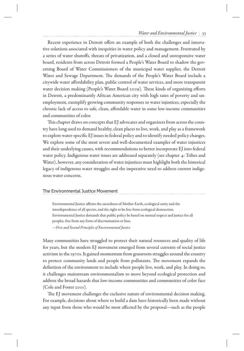# *Water and Environmental Justice* 53

Recent experience in Detroit offers an example of both the challenges and innovative solutions associated with inequities in water policy and management. Frustrated by a series of water shutoffs, threats of privatization, and a closed and unresponsive water board, residents from across Detroit formed a People's Water Board to shadow the governing Board of Water Commissioners of the municipal water supplier, the Detroit Water and Sewage Department. The demands of the People's Water Board include a citywide water affordability plan, public control of water services, and more transparent water decision making (People's Water Board 2009). These kinds of organizing efforts in Detroit, a predominantly African American city with high rates of poverty and unemployment, exemplify growing community responses to water injustices, especially the chronic lack of access to safe, clean, aff ordable water in some low-income communities and communities of color.

This chapter draws on concepts that EJ advocates and organizers from across the country have long used to demand healthy, clean places to live, work, and play as a framework to explore water-specific EJ issues in federal policy and to identify needed policy changes. We explore some of the most severe and well-documented examples of water injustices and their underlying causes, with recommendations to better incorporate EJ into federal water policy. Indigenous water issues are addressed separately (see chapter 4: Tribes and Water), however, any consideration of water injustices must highlight both the historical legacy of indigenous water struggles and the imperative need to address current indigenous water concerns.

# The Environmental Justice Movement

Environmental Justice affirms the sacredness of Mother Earth, ecological unity and the interdependence of all species, and the right to be free from ecological destruction. Environmental Justice demands that public policy be based on mutual respect and justice for all peoples, free from any form of discrimination or bias. *—First and Second Principles of Environmental Justice*

 Many communities have struggled to protect their natural resources and quality of life for years, but the modern EJ movement emerged from several currents of social justice activism in the 1970s. It gained momentum from grassroots struggles around the country to protect community lands and people from pollutants. The movement expands the definition of the environment to include where people live, work, and play. In doing so, it challenges mainstream environmentalism to move beyond ecological protection and address the broad hazards that low-income communities and communities of color face (Cole and Foster 2001 ).

The EJ movement challenges the exclusive nature of environmental decision making. For example, decisions about where to build a dam have historically been made without any input from those who would be most affected by the proposal—such as the people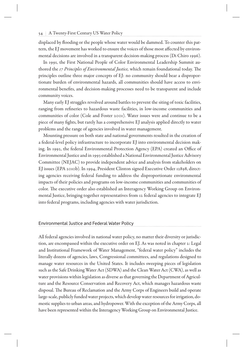displaced by flooding or the people whose water would be dammed. To counter this pattern, the EJ movement has worked to ensure the voices of those most affected by environmental decisions are involved in a transparent decision-making process (Di Chiro 1996).

 In 1991, the First National People of Color Environmental Leadership Summit authored the 17 Principles of Environmental Justice, which remain foundational today. The principles outline three major concepts of EJ: no community should bear a disproportionate burden of environmental hazards, all communities should have access to environmental benefits, and decision-making processes need to be transparent and include community voices.

 Many early EJ struggles revolved around battles to prevent the siting of toxic facilities, ranging from refineries to hazardous waste facilities, in low-income communities and communities of color (Cole and Foster 2001). Water issues were and continue to be a piece of many fights, but rarely has a comprehensive EJ analysis applied directly to water problems and the range of agencies involved in water management.

 Mounting pressure on both state and national governments resulted in the creation of a federal-level policy infrastructure to incorporate EJ into environmental decision making. In 1992, the federal Environmental Protection Agency (EPA) created an Office of Environmental Justice and in 1993 established a National Environmental Justice Advisory Committee (NEJAC) to provide independent advice and analysis from stakeholders on EJ issues (EPA 2010b). In 1994, President Clinton signed Executive Order 12898, directing agencies receiving federal funding to address the disproportionate environmental impacts of their policies and programs on low-income communities and communities of color. The executive order also established an Interagency Working Group on Environmental Justice, bringing together representatives from 12 federal agencies to integrate EJ into federal programs, including agencies with water jurisdiction.

# Environmental Justice and Federal Water Policy

 All federal agencies involved in national water policy, no matter their diversity or jurisdiction, are encompassed within the executive order on EJ. As was noted in chapter 2: Legal and Institutional Framework of Water Management, "federal water policy" includes the literally dozens of agencies, laws, Congressional committees, and regulations designed to manage water resources in the United States. It includes sweeping pieces of legislation such as the Safe Drinking Water Act (SDWA) and the Clean Water Act (CWA), as well as water provisions within legislation as diverse as that governing the Department of Agriculture and the Resource Conservation and Recovery Act, which manages hazardous waste disposal. The Bureau of Reclamation and the Army Corps of Engineers build and operate large-scale, publicly funded water projects, which develop water resources for irrigation, domestic supplies to urban areas, and hydropower. With the exception of the Army Corps, all have been represented within the Interagency Working Group on Environmental Justice.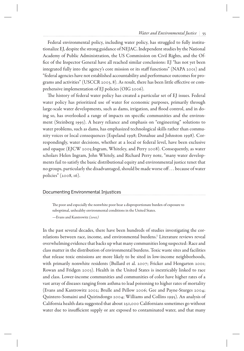Federal environmental policy, including water policy, has struggled to fully institutionalize EJ, despite the strong guidance of NEJAC. Independent studies by the National Academy of Public Administration, the US Commission on Civil Rights, and the Office of the Inspector General have all reached similar conclusions: EJ "has not yet been integrated fully into the agency's core mission or its staff functions" (NAPA 2001) and "federal agencies have not established accountability and performance outcomes for programs and activities" (USCCR 2003, 8). As result, there has been little effective or comprehensive implementation of EJ policies (OIG 2006).

The history of federal water policy has created a particular set of EJ issues. Federal water policy has prioritized use of water for economic purposes, primarily through large-scale water developments, such as dams, irrigation, and flood control, and in doing so, has overlooked a range of impacts on specific communities and the environment (Steinberg 1993). A heavy reliance and emphasis on "engineering" solutions to water problems, such as dams, has emphasized technological skills rather than community voices or local consequences (Espeland 1998; Donahue and Johnston 1998). Correspondingly, water decisions, whether at a local or federal level, have been exclusive and opaque (EJCW 2005; Ingram, Whiteley, and Perry 2008). Consequently, as water scholars Helen Ingram, John Whitely, and Richard Perry note, "many water developments fail to satisfy the basic distributional equity and environmental justice tenet that no groups, particularly the disadvantaged, should be made worse off . . . because of water policies" (2008, 16).

# Documenting Environmental Injustices

The poor and especially the nonwhite poor bear a disproportionate burden of exposure to suboptimal, unhealthy environmental conditions in the United States. *—*Evans and Kantrowitz *(2002)*

 In the past several decades, there have been hundreds of studies investigating the correlations between race, income, and environmental burdens.<sup>1</sup> Literature reviews reveal overwhelming evidence that backs up what many communities long suspected: Race and class matter in the distribution of environmental burdens. Toxic waste sites and facilities that release toxic emissions are more likely to be sited in low-income neighborhoods, with primarily nonwhite residents (Bullard et al. 2007; Fricker and Hengarten 2001; Rowan and Fridgen 2003). Health in the United States is inextricably linked to race and class. Lower-income communities and communities of color have higher rates of a vast array of diseases ranging from asthma to lead poisoning to higher rates of mortality (Evans and Kantrowitz 2002; Brulle and Pellow 2006; Gee and Payne-Sturges 2004; Quintero-Somaini and Quirindongo 2004 ; Williams and Collins 1995 ). An analysis of California health data suggested that about 250,000 Californians sometimes go without water due to insufficient supply or are exposed to contaminated water, and that many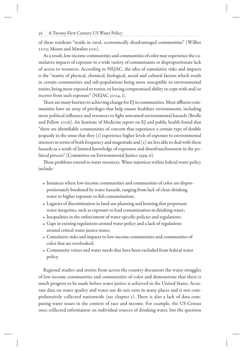of these residents "reside in rural, economically disadvantaged communities" (Wilber 2003 ; Moore and Matalon 2011 ).

 As a result, low-income communities and communities of color may experience the cumulative impacts of exposure to a wide variety of contaminants or disproportionate lack of access to resources. According to NEJAC, the idea of cumulative risks and impacts is the "matrix of physical, chemical, biological, social and cultural factors which result in certain communities and sub-populations being more susceptible to environmental toxins, being more exposed to toxins, or having compromised ability to cope with and/or recover from such exposure" (NEJAC 2004, i).

There are many barriers to achieving change for EJ in communities. More affluent communities have an array of privileges that help ensure healthier environments, including more political influence and resources to fight unwanted environmental hazards (Brulle and Pellow 2006 ). An Institute of Medicine report on EJ and public health found that "there are identifiable communities of concern that experience a certain type of double jeopardy in the sense that they (1) experience higher levels of exposure to environmental stressors in terms of both frequency and magnitude and  $(z)$  are less able to deal with these hazards as a result of limited knowledge of exposures and disenfranchisement in the political process" (Committee on Environmental Justice 1999, 6).

These problems extend to water resources. Water injustices within federal water policy include:

- Instances where low-income communities and communities of color are disproportionately burdened by water hazards, ranging from lack of clean drinking water to higher exposure to fish contamination;
- Legacies of discrimination in land-use planning and housing that perpetuate water inequities, such as exposure to lead contamination in drinking water;
- Inequalities in the enforcement of water-specific policies and regulations;
- Gaps in existing regulations around water policy and a lack of regulations around critical water justice issues;
- Cumulative risks and impacts to low-income communities and communities of color that are overlooked;
- Community voices and water needs that have been excluded from federal water policy.

 Regional studies and stories from across the country document the water struggles of low-income communities and communities of color and demonstrate that there is much progress to be made before water justice is achieved in the United States. Accurate data on water quality and water use do not exist in many places and is not comprehensively collected nationwide (see chapter 1). There is also a lack of data comparing water issues in the context of race and income. For example, the US Census once collected information on individual sources of drinking water, but the question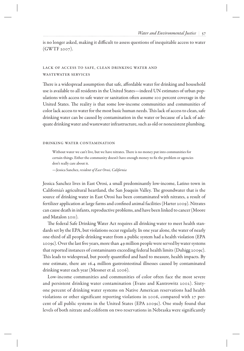is no longer asked, making it difficult to assess questions of inequitable access to water  $(GWTF 2007)$ .

# Lack of access to safe, clean drinking water and wastewater services

There is a widespread assumption that safe, affordable water for drinking and household use is available to all residents in the United States—indeed UN estimates of urban populations with access to safe water or sanitation often assume 100 percent coverage in the United States. The reality is that some low-income communities and communities of color lack access to water for the most basic human needs. This lack of access to clean, safe drinking water can be caused by contamination in the water or because of a lack of adequate drinking water and wastewater infrastructure, such as old or nonexistent plumbing.

#### Drinking water contamination

Without water we can't live, but we have nitrates. There is no money put into communities for certain things. Either the community doesn't have enough money to fix the problem or agencies don't really care about it.

—Jessica Sanchez, *resident of East Orosi, California*

 Jessica Sanchez lives in East Orosi, a small predominantly low-income, Latino town in California's agricultural heartland, the San Joaquin Valley. The groundwater that is the source of drinking water in East Orosi has been contaminated with nitrates, a result of fertilizer application at large farms and confined animal facilities (Harter 2009). Nitrates can cause death in infants, reproductive problems, and have been linked to cancer (Moore and Matalon 2011).

The federal Safe Drinking Water Act requires all drinking water to meet health standards set by the EPA, but violations occur regularly. In one year alone, the water of nearly one-third of all people drinking water from a public system had a health violation (EPA  $2009c$ ). Over the last five years, more than 49 million people were served by water systems that reported instances of contaminants exceeding federal health limits (Duhigg 2009c ). This leads to widespread, but poorly quantified and hard to measure, health impacts. By one estimate, there are 16.4 million gastrointestinal illnesses caused by contaminated drinking water each year (Messner et al. 2006).

 Low-income communities and communities of color often face the most severe and persistent drinking water contamination (Evans and Kantrowitz 2002). Sixtyone percent of drinking water systems on Native American reservations had health violations or other significant reporting violations in 2006, compared with 27 percent of all public systems in the United States (EPA 2009c). One study found that levels of both nitrate and coliform on two reservations in Nebraska were significantly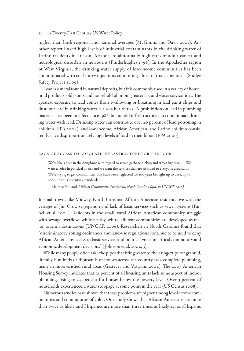higher than both regional and national averages (McGinnis and Davis 2001). Another report linked high levels of industrial contaminants in the drinking water of Latino residents in Tucson, Arizona, to abnormally high rates of adult cancer and neurological disorders in newborns (Pinderhughes 1996 ). In the Appalachia region of West Virginia, the drinking water supply of low-income communities has been contaminated with coal slurry injections containing a host of toxic chemicals (Sludge Safety Project 2009).

 Lead is a metal found in natural deposits, but it is commonly used in a variety of household products, old paints and household plumbing materials, and water service lines. The greatest exposure to lead comes from swallowing or breathing in lead paint chips and dust, but lead in drinking water is also a health risk. A prohibition on lead in plumbing materials has been in effect since 1986, but an old infrastructure can contaminate drinking water with lead. Drinking water can contribute over 20 percent of lead poisoning in children (EPA 2004), and low-income, African American, and Latino children consistently have disproportionately high levels of lead in their blood (EPA 2000).

#### Lack of access to adequate infrastructure for the poor

We're like a hole in the doughnut with regard to sewer, garbage pickup and street lighting. . . . We want a voice in political affairs and we want the services that are afforded to everyone around us. We're trying to get communities that have been neglected for 100 years brought up to date, up to code, up to 21st-century standards.

—Maurice Holland, *Midway Community Association, North Carolina (qtd. in UNCCR 2006)*

 In small towns like Midway, North Carolina, African American residents live with the vestiges of Jim Crow segregation and lack of basic services such as sewer systems (Parnell et al. 2004). Residents in the small, rural African American community struggle with sewage overflows while nearby, white, affluent communities are developed as major tourism destinations (UNCCR 2006). Researchers in North Carolina found that "discriminatory zoning ordinances and land-use regulations continue to be used to deny African Americans access to basic services and political voice in critical community and economic development decisions" (Johnson et al. 2004, 3).

While many people often take the pipes that bring water to their fingertips for granted, literally hundreds of thousands of houses across the country lack complete plumbing, many in impoverished rural areas (Gasteyer and Vaswami 2004). The 2007 American Housing Survey indicates that 1.1 percent of all housing units lack some aspect of indoor plumbing, rising to 2.3 percent for houses below the poverty level. Over 3 percent of households experienced a water stoppage at some point in the year (US Census 2008).

 Numerous studies have shown that these problems are higher among low-income communities and communities of color. One study shows that African Americans are more than twice as likely and Hispanics are more than three times as likely as non-Hispanic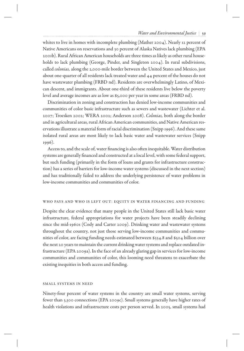# *Water and Environmental Justice* 59

whites to live in homes with incomplete plumbing (Mather 2004). Nearly 12 percent of Native Americans on reservations and 30 percent of Alaska Natives lack plumbing (EPA 2001b). Rural African American households are three times as likely as other rural households to lack plumbing (George, Pinder, and Singleton 2004). In rural subdivisions, called *colonias,* along the 2,000-mile border between the United States and Mexico, just about one-quarter of all residents lack treated water and 44 percent of the houses do not have wastewater plumbing (FRBD nd). Residents are overwhelmingly Latino, of Mexican descent, and immigrants. About one-third of these residents live below the poverty level and average incomes are as low as \$5,000 per year in some areas (FRBD nd).

 Discrimination in zoning and construction has denied low-income communities and communities of color basic infrastructure such as sewers and wastewater (Lichter et al. 2007; Troesken 2002; WERA 2002; Anderson 2008). *Colonias*, both along the border and in agricultural areas, rural African American communities, and Native American reservations illustrate a material form of racial discrimination (Snipp 1996 ). And these same isolated rural areas are most likely to lack basic water and wastewater services (Snipp 1996 ).

Access to, and the scale of, water financing is also often inequitable. Water distribution systems are generally financed and constructed at a local level, with some federal support, but such funding (primarily in the form of loans and grants for infrastructure construction) has a series of barriers for low-income water systems (discussed in the next section) and has traditionally failed to address the underlying persistence of water problems in low-income communities and communities of color.

# Who pays and who is left out: equity in water financing and funding

 Despite the clear evidence that many people in the United States still lack basic water infrastructure, federal appropriations for water projects have been steadily declining since the mid-1960s (Cody and Carter 2009). Drinking water and wastewater systems throughout the country, not just those serving low-income communities and communities of color, are facing funding needs estimated between \$334.8 and \$504 billion over the next 20 years to maintain the current drinking water systems and replace outdated infrastructure (EPA 2009a). In the face of an already glaring gap in services for low-income communities and communities of color, this looming need threatens to exacerbate the existing inequities in both access and funding.

# Small systems in need

 Ninety-four percent of water systems in the country are small water systems, serving fewer than 3,300 connections (EPA 2009c). Small systems generally have higher rates of health violations and infrastructure costs per person served. In 2005, small systems had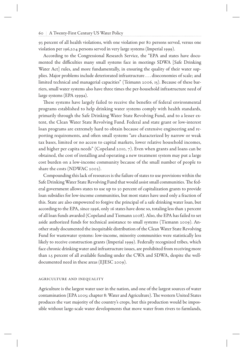93 percent of all health violations, with one violation per 80 persons served, versus one violation per 196,204 persons served in very large systems (Imperial 1999 ).

 According to the Congressional Research Service, the "EPA and states have documented the difficulties many small systems face in meetings SDWA [Safe Drinking Water Act] rules, and more fundamentally, in ensuring the quality of their water supplies. Major problems include deteriorated infrastructure . . . diseconomies of scale; and limited technical and managerial capacities" (Teimann 2006, 15). Because of these barriers, small water systems also have three times the per-household infrastructure need of large systems (EPA 1999a).

These systems have largely failed to receive the benefits of federal environmental programs established to help drinking water systems comply with health standards, primarily through the Safe Drinking Water State Revolving Fund, and to a lesser extent, the Clean Water State Revolving Fund. Federal and state grant or low-interest loan programs are extremely hard to obtain because of extensive engineering and reporting requirements, and often small systems "are characterized by narrow or weak tax bases, limited or no access to capital markets, lower relative household incomes, and higher per capita needs" (Copeland 2010,  $7$ ). Even when grants and loans can be obtained, the cost of installing and operating a new treatment system may put a large cost burden on a low-income community because of the small number of people to share the costs (NDWAC 2003).

 Compounding this lack of resources is the failure of states to use provisions within the Safe Drinking Water State Revolving Fund that would assist small communities. The federal government allows states to use up to 30 percent of capitalization grants to provide loan subsidies for low-income communities, but most states have used only a fraction of this. State are also empowered to forgive the principal of a safe drinking water loan, but according to the EPA, since 1996, only 16 states have done so, totaling less than 3 percent of all loan funds awarded (Copeland and Tiemann 2008 ). Also, the EPA has failed to set aside authorized funds for technical assistance to small systems (Tiemann 2009). Another study documented the inequitable distribution of the Clean Water State Revolving Fund for wastewater systems: low-income, minority communities were statistically less likely to receive construction grants (Imperial 1999 ). Federally recognized tribes, which face chronic drinking water and infrastructure issues, are prohibited from receiving more than 1.5 percent of all available funding under the CWA and SDWA, despite the welldocumented need in these areas (EJESC 2009 ).

# Agriculture and inequality

 Agriculture is the largest water user in the nation, and one of the largest sources of water contamination (EPA 2005; chapter 8: Water and Agriculture). The western United States produces the vast majority of the country's crops, but this production would be impossible without large-scale water developments that move water from rivers to farmlands,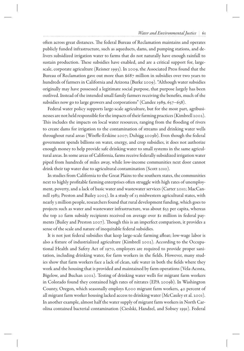# *Water and Environmental Justice* 61

often across great distances. The federal Bureau of Reclamation maintains and operates publicly funded infrastructure, such as aqueducts, dams, and pumping stations, and delivers subsidized irrigation water to farms that do not naturally have enough rainfall to sustain production. These subsidies have enabled, and are a critical support for, largescale, corporate agriculture (Reisner 1993). In 2009, the Associated Press found that the Bureau of Reclamation gave out more than \$687 million in subsidies over two years to hundreds of farmers in California and Arizona (Burke 2009 ). "Although water subsidies originally may have possessed a legitimate social purpose, that purpose largely has been outlived. Instead of the intended small family farmers receiving the benefits, much of the subsidies now go to large growers and corporations" (Candee 1989, 657–658).

 Federal water policy supports large-scale agriculture, but for the most part, agribusinesses are not held responsible for the impacts of their farming practices (Kimbrell 2002 ). This includes the impacts on local water resources, ranging from the flooding of rivers to create dams for irrigation to the contamination of streams and drinking water wells throughout rural areas (Woefle-Erskine 2007; Duhigg 2009b). Even though the federal government spends billions on water, energy, and crop subsidies, it does not authorize enough money to help provide safe drinking water to small systems in the same agricultural areas. In some areas of California, farms receive federally subsidized irrigation water piped from hundreds of miles away, while low-income communities next door cannot drink their tap water due to agricultural contamination (Scott 2010).

 In studies from California to the Great Plains to the southern states, the communities next to highly profitable farming enterprises often struggle with high rates of unemployment, poverty, and a lack of basic water and wastewater services (Carter 2010; MacCannell 1983; Preston and Bailey 2003). In a study of 13 midwestern agricultural states, with nearly 3 million people, researchers found that rural development funding, which goes to projects such as water and wastewater infrastructure, was about \$53 per capita, whereas the top 20 farm subsidy recipients received on average over \$1 million in federal payments (Bailey and Preston 2007). Though this is an imperfect comparison, it provides a sense of the scale and nature of inequitable federal subsidies.

It is not just federal subsidies that keep large-scale farming afloat; low-wage labor is also a fixture of industrialized agriculture (Kimbrell 2002). According to the Occupational Health and Safety Act of 1970, employers are required to provide proper sanitation, including drinking water, for farm workers in the fields. However, many studies show that farm workers face a lack of clean, safe water in both the fields where they work and the housing that is provided and maintained by farm operations (Vela-Acosta, Bigelow, and Buchan 2002). Testing of drinking water wells for migrant farm workers in Colorado found they contained high rates of nitrates (EPA 2009b). In Washington County, Oregon, which seasonally employs 8,000 migrant farm workers, 40 percent of all migrant farm worker housing lacked access to drinking water (McCauley et al. 2001 ). In another example, almost half the water supply of migrant farm workers in North Carolina contained bacterial contamination (Cieslski, Handzel, and Sobsey 1991 ). Federal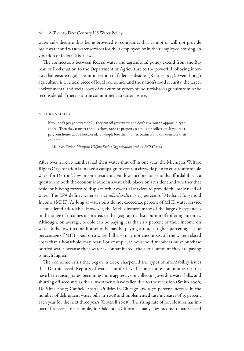water subsidies are thus being provided to companies that cannot or will not provide basic water and wastewater services for their employees or in their employee housing, in violation of federal labor laws.

The connections between federal water and agricultural policy extend from the Bureau of Reclamation to the Department of Agriculture to the powerful lobbying interests that ensure regular reauthorization of federal subsidies (Reisner 1993). Even though agriculture is a critical piece of local economies and the nation's food security, the larger environmental and social costs of our current system of industrialized agriculture must be reconsidered if there is a true commitment to water justice.

#### Affordability

 If you don't pay your water bills, they cut off your water, and don't give you an opportunity to appeal. Then they transfer the bills above \$100 to property tax rolls for collection. If you can't pay, your house can be foreclosed. . . . People lose their homes, business and can even lose their children.

—Maureen Taylor, *Michigan Welfare Rights Organization (qtd. in NCLC 2006)*

After over 40,000 families had their water shut off in one year, the Michigan Welfare Rights Organization launched a campaign to create a citywide plan to ensure affordable water for Detroit's low-income residents. For low-income households, affordability is a question of both the economic burden a water bill places on a resident and whether that resident is being forced to displace other essential services to provide the basic need of water. The EPA defines water service *affordability* as 2.5 percent of Median Household Income (MHI). As long as water bills do not exceed 2.5 percent of MHI, water service is considered affordable. However, the MHI obscures many of the large discrepancies in the range of incomes in an area, or the geographic distribution of differing incomes. Although, on average, people can be paying less than 2.5 percent of their income on water bills, low-income households may be paying a much higher percentage. The percentage of MHI spent on a water bill also may not encompass all the water-related costs that a household may bear. For example, if household members must purchase bottled water because their water is contaminated, the actual amount they are paying is much higher.

The economic crisis that began in 2009 sharpened the types of affordability issues that Detroit faced. Reports of water shutoffs have become more common as utilities have been raising rates, becoming more aggressive in collecting overdue water bills, and shutting off accounts as their investments have fallen due to the recession (Smith 2008; DePalma 2007; Canfield 2010). Utilities in Chicago saw a 70 percent increase in the number of delinquent water bills in 2008 and implemented rate increases of 15 percent each year for the next three years (Cottrell 2008). The rising rate of foreclosures has impacted renters; for example, in Oakland, California, many low-income tenants faced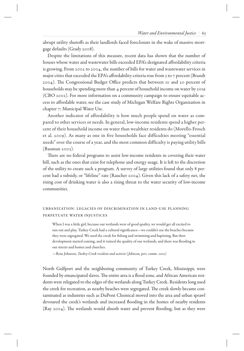abrupt utility shutoffs as their landlords faced foreclosure in the wake of massive mortgage defaults (Grady 2008 ).

 Despite the limitations of this measure, recent data has shown that the number of houses whose water and wastewater bills exceeded EPA's designated affordability criteria is growing. From 2002 to 2004, the number of bills for water and wastewater services in major cities that exceeded the EPA's affordability criteria rose from 3 to 7 percent (Brandt 2004). The Congressional Budget Office predicts that between 10 and 20 percent of households may be spending more than 4 percent of household income on water by 2019 (CBO 2002 ). For more information on a community campaign to ensure equitable access to aff ordable water, see the case study of Michigan Welfare Rights Organization in chapter 7: Municipal Water Use.

 Another indicator of affordability is how much people spend on water as compared to other services or needs. In general, low-income residents spend a higher percent of their household income on water than wealthier residents do (Morello-Frosch et al. 2009 ). As many as one in five households face difficulties meeting "essential needs" over the course of a year, and the most common difficulty is paying utility bills  $(Bauman 2003)$ .

There are no federal programs to assist low-income residents in covering their water bill, such as the ones that exist for telephone and energy usage. It is left to the discretion of the utility to create such a program. A survey of large utilities found that only 8 percent had a subsidy, or "lifeline" rate (Raucher 2004 ). Given this lack of a safety net, the rising cost of drinking water is also a rising threat to the water security of low-income communities.

# Urbanization: Legacies of discrimination in land-use planning perpetuate water injustices

 When I was a little girl, because our wetlands were of good quality, we would get all excited to run out and play. Turkey Creek had a cultural significance—we couldn't use the beaches because they were segregated. We used the creek for fishing and swimming and baptizing. But then development started coming, and it ruined the quality of our wetlands, and there was flooding in our streets and homes and churches.

—Rose Johnson, *Turkey Creek resident and activist (Johnson, pers. comm. 2010)*

 North Gulfport and the neighboring community of Turkey Creek, Mississippi, were founded by emancipated slaves. The entire area is a flood zone, and African American residents were relegated to the edges of the wetlands along Turkey Creek. Residents long used the creek for recreation, as nearby beaches were segregated. The creek slowly became contaminated as industries such as DuPont Chemical moved into the area and urban sprawl devoured the creek's wetlands and increased flooding in the homes of nearby residents (Ray 2004). The wetlands would absorb water and prevent flooding, but as they were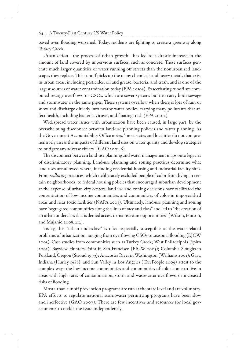paved over, flooding worsened. Today, residents are fighting to create a greenway along Turkey Creek.

 Urbanization—the process of urban growth—has led to a drastic increase in the amount of land covered by impervious surfaces, such as concrete. These surfaces generate much larger quantities of water running off streets than the nonurbanized landscapes they replace. This runoff picks up the many chemicals and heavy metals that exist in urban areas, including pesticides, oil and grease, bacteria, and trash, and is one of the largest sources of water contamination today (EPA 2010a). Exacerbating runoff are combined sewage overflows, or CSOs, which are sewer systems built to carry both sewage and stormwater in the same pipes. These systems overflow when there is lots of rain or snow and discharge directly into nearby water bodies, carrying many pollutants that affect health, including bacteria, viruses, and floating trash (EPA 2001a).

 Widespread water issues with urbanization have been caused, in large part, by the overwhelming disconnect between land-use planning policies and water planning. As the Government Accountability Office notes, "most states and localities do not comprehensively assess the impacts of different land uses on water quality and develop strategies to mitigate any adverse effects" (GAO 2001, 6).

The disconnect between land-use planning and water management maps onto legacies of discriminatory planning. Land-use planning and zoning practices determine what land uses are allowed where, including residential housing and industrial facility sites. From *redlining* practices, which deliberately excluded people of color from living in certain neighborhoods, to federal housing policies that encouraged suburban development at the expense of urban city centers, land use and zoning decisions have facilitated the concentration of low-income communities and communities of color in impoverished areas and near toxic facilities (NAPA 2003 ). Ultimately, land-use planning and zoning have "segregated communities along the lines of race and class" and led to "the creation of an urban underclass that is denied access to mainstream opportunities" (Wilson, Hutson, and Mujahid  $2008$ ,  $212$ ).

Today, this "urban underclass" is often especially susceptible to the water-related problems of urbanization, ranging from overflowing CSOs to seasonal flooding (EJCW 2005 ). Case studies from communities such as Turkey Creek; West Philadelphia (Spirn 2005 ); Bayview Hunters Point in San Francisco (EJCW 2005 ); Columbia Sloughs in Portland, Oregon (Stroud 1999); Anacostia River in Washington (Williams 2001); Gary, Indiana (Hurley 1988); and Sun Valley in Los Angeles (TreePeople 2009) attest to the complex ways the low-income communities and communities of color come to live in areas with high rates of contamination, storm and wastewater overflows, or increased risks of flooding.

 Most urban runoff prevention programs are run at the state level and are voluntary. EPA efforts to regulate national stormwater permitting programs have been slow and ineffective (GAO 2007). There are few incentives and resources for local governments to tackle the issue independently.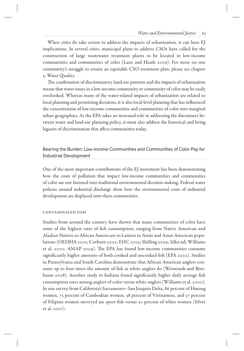When cities do take action to address the impacts of urbanization, it can have EJ implications. In several cities, municipal plans to address CSOs have called for the construction of large wastewater treatment plants to be located in low-income communities and communities of color (Lane and Heath 2009). For more on one community's struggle to ensure an equitable CSO treatment plan, please see chapter 5: Water Quality.

The combination of discriminatory land-use patterns and the impacts of urbanization means that water issues in a low-income community or community of color may be easily overlooked. Whereas many of the water-related impacts of urbanization are related to local planning and permitting decisions, it is also local-level planning that has influenced the concentration of low-income communities and communities of color into marginal urban geographies. As the EPA takes an increased role in addressing the disconnect between water and land-use planning policy, it must also address the historical and living legacies of discrimination that affect communities today.

# Bearing the Burden: Low-income Communities and Communities of Color Pay for Industrial Development

 One of the most important contributions of the EJ movement has been demonstrating how the costs of pollution that impact low-income communities and communities of color are not factored into traditional environmental decision making. Federal water policies around industrial discharge show how the environmental costs of industrial development are displaced onto these communities.

# CONTAMINATED FISH

 Studies from around the country have shown that many communities of color have some of the highest rates of fish consumption, ranging from Native American and Alaskan Natives to African Americans to Latinos to Asian and Asian American populations (OEHHA 2001; Corburn 2002; EHC 2005; Shilling 2009; Silka nd; Williams et al. 2000; AMAP 2009). The EPA has found low-income communities consume significantly higher amounts of both cooked and uncooked fish (EPA 2002). Studies in Pennsylvania and South Carolina demonstrate that African American anglers consume up to four times the amount of fish as white anglers do (Weintraub and Birnbaum 2008). Another study in Indiana found significantly higher daily average fish consumption rates among anglers of color versus white anglers (Williams et al. 2000 ). In one survey from California's Sacramento–San Joaquin Delta, 86 percent of Hmong women, 75 percent of Cambodian women, 58 percent of Vietnamese, and 57 percent of Filipino women surveyed ate sport fish versus 30 percent of white women (Silver et al. 2007 ).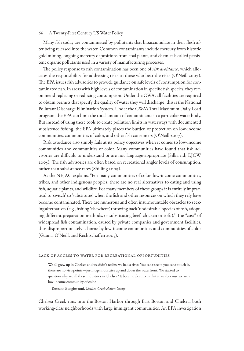Many fish today are contaminated by pollutants that bioaccumulate in their flesh after being released into the water. Common contaminants include mercury from historic gold mining, ongoing mercury depositions from coal plants, and chemicals called persistent organic pollutants used in a variety of manufacturing processes.

The policy response to fish contamination has been one of *risk avoidance*, which allocates the responsibility for addressing risks to those who bear the risks (O'Neill 2007 ). The EPA issues fish advisories to provide guidance on safe levels of consumption for contaminated fish. In areas with high levels of contamination in specific fish species, they recommend replacing or reducing consumption. Under the CWA, all facilities are required to obtain permits that specify the quality of water they will discharge; this is the National Pollutant Discharge Elimination System. Under the CWA's Total Maximum Daily Load program, the EPA can limit the total amount of contaminants in a particular water body. But instead of using these tools to create pollution limits in waterways with documented subsistence fishing, the EPA ultimately places the burden of protection on low-income communities, communities of color, and other fish consumers (O'Neill 2007).

 Risk avoidance also simply fails at its policy objectives when it comes to low-income communities and communities of color. Many communities have found that fish advisories are difficult to understand or are not language-appropriate (Silka nd; EJCW) 2005). The fish advisories are often based on recreational angler levels of consumption, rather than subsistence rates (Shilling 2009 ).

 As the NEJAC explains, "For many communities of color, low-income communities, tribes, and other indigenous peoples, there are no real alternatives to eating and using fish, aquatic plants, and wildlife. For many members of these groups it is entirely impractical to 'switch' to 'substitutes' when the fish and other resources on which they rely have become contaminated. There are numerous and often insurmountable obstacles to seeking alternatives (e.g., fishing 'elsewhere,' throwing back 'undesirable' species of fish, adopting different preparation methods, or substituting beef, chicken or tofu)." The "cost" of widespread fish contamination, caused by private companies and government facilities, thus disproportionately is borne by low-income communities and communities of color (Gauna, O'Neill, and Rechtschaffen 2005).

# Lack of access to water for recreational opportunities

 We all grew up in Chelsea and we didn't realize we had a river. You can't see it, you can't touch it, there are no viewpoints—just huge industries up and down the waterfront. We started to question why are all these industries in Chelsea? It became clear to us that it was because we are a low-income community of color.

—Roseann Bongiovanni, *Chelsea Creek Action Group*

 Chelsea Creek runs into the Boston Harbor through East Boston and Chelsea, both working-class neighborhoods with large immigrant communities. An EPA investigation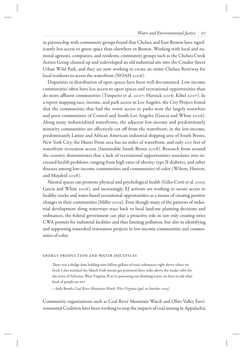# *Water and Environmental Justice* 67

in partnership with community groups found that Chelsea and East Boston have significantly less access to green space than elsewhere in Boston. Working with local and national agencies, companies, and residents, community groups such as the Chelsea Creek Action Group cleaned up and redeveloped an old industrial site into the Condor Street Urban Wild Park, and they are now working to create an entire Chelsea Riverway for local residents to access the waterfront (NOAH 2006).

 Disparities in distribution of open spaces have been well documented. Low-income communities often have less access to open spaces and recreational opportunities than do more affluent communities (Timperio et al. 2007; Harnick 2006; Kibel 2007). In a report mapping race, income, and park access in Los Angeles, the City Project found that the communities that had the worst access to parks were the largely nonwhite and poor communities of Central and South Los Angeles (Garcia and White 2006). Along many industrialized waterfronts, the adjacent low-income and predominately minority communities are effectively cut off from the waterfront; in the low-income, predominately Latino and African American industrial shipping area of South Bronx, New York City, the Hunts Point area has six miles of waterfront, and only 200 feet of waterfront recreation access (Sustainable South Bronx 2008). Research from around the country demonstrates that a lack of recreational opportunities translates into increased health problems, ranging from high rates of obesity, type II diabetes, and other diseases among low-income communities and communities of color (Wilson, Hutson, and Mujahid 2008 ).

Natural spaces can promote physical and psychological health (Giles-Corti et al. 2005; Garcia and White 2006), and increasingly, EJ activists are working to secure access to healthy creeks and water-based recreational opportunities as a means of creating positive changes in their communities (Miller 2009 ). Even though many of the patterns of industrial development along waterways trace back to local land-use planning decisions and ordinances, the federal government can play a proactive role in not only creating strict CWA permits for industrial facilities and thus limiting pollution, but also in identifying and supporting watershed restoration projects in low-income communities and communities of color.

## Energy production and water injustices

There was a sludge dam holding nine billion gallons of toxic substances right above where we lived. I also watched the March Fork stream get poisoned three miles above the intake valve for the town of Sylvester, West Virginia. If we're poisoning our drinking water, we have to ask what kind of people are we?

—Judy Bonds, *Coal River Mountain Watch, West Virginia (qtd. in Smecker 2009)*

 Community organizations such as Coal River Mountain Watch and Ohio Valley Environmental Coalition have been working to stop the impacts of coal mining in Appalachia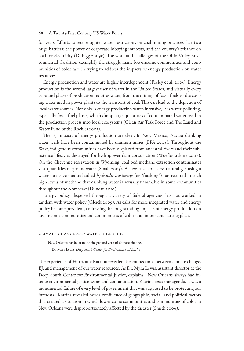for years. Efforts to secure tighter water restrictions on coal mining practices face two huge barriers: the power of corporate lobbying interests, and the country's reliance on coal for electricity (Duhigg 2009c). The work and challenges of the Ohio Valley Environmental Coalition exemplify the struggle many low-income communities and communities of color face in trying to address the impacts of energy production on water resources.

 Energy production and water are highly interdependent (Feeley et al. 2005 ). Energy production is the second largest user of water in the United States, and virtually every type and phase of production requires water, from the mining of fossil fuels to the cooling water used in power plants to the transport of coal. This can lead to the depletion of local water sources. Not only is energy production water-intensive, it is water-polluting, especially fossil fuel plants, which dump large quantities of contaminated water used in the production process into local ecosystems (Clean Air Task Force and The Land and Water Fund of the Rockies 2003 ).

The EJ impacts of energy production are clear. In New Mexico, Navajo drinking water wells have been contaminated by uranium mines (EPA 2008). Throughout the West, indigenous communities have been displaced from ancestral rivers and their subsistence lifestyles destroyed for hydropower dam construction (Woefle-Erskine 2007). On the Cheyenne reservation in Wyoming, coal bed methane extraction contaminates vast quantities of groundwater (Small 2005). A new rush to access natural gas using a water-intensive method called *hydraulic fracturing* (or "fracking") has resulted in such high levels of methane that drinking water is actually flammable in some communities throughout the Northeast (Duncan 2010 ).

 Energy policy, dispersed through a variety of federal agencies, has not worked in tandem with water policy (Gleick 2009 ). As calls for more integrated water and energy policy become prevalent, addressing the long-standing impacts of energy production on low-income communities and communities of color is an important starting place.

#### Climate change and water injustices

 New Orleans has been made the ground zero of climate change. —Dr. Myra Lewis, *Deep South Center for Environmental Justice*

The experience of Hurricane Katrina revealed the connections between climate change, EJ, and management of our water resources. As Dr. Myra Lewis, assistant director at the Deep South Center for Environmental Justice, explains, "New Orleans always had intense environmental justice issues and contamination. Katrina reset our agenda. It was a monumental failure of every level of government that was supposed to be protecting our interests." Katrina revealed how a confluence of geographic, social, and political factors that created a situation in which low-income communities and communities of color in New Orleans were disproportionately affected by the disaster (Smith 2006).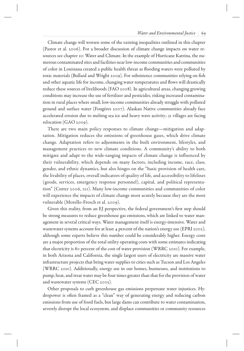# *Water and Environmental Justice* 69

 Climate change will worsen some of the existing inequalities outlined in this chapter (Pastor et al. 2006). For a broader discussion of climate change impacts on water resources see chapter 10: Water and Climate. In the example of Hurricane Katrina, the numerous contaminated sites and facilities near low-income communities and communities of color in Louisiana created a public health threat as flooding waters were polluted by toxic materials (Bullard and Wright 2009). For subsistence communities relying on fish and other aquatic life for income, changing water temperatures and flows will drastically reduce these sources of livelihoods (FAO 2008 ). In agricultural areas, changing growing conditions may increase the use of fertilizer and pesticides, risking increased contamination in rural places where small, low-income communities already struggle with polluted ground and surface water (Fougères 2007 ). Alaskan Native communities already face accelerated erosion due to melting sea ice and heavy wave activity; 31 villages are facing relocation (GAO 2009).

 There are two main policy responses to climate change—mitigation and adaptation. Mitigation reduces the emissions of greenhouse gases, which drive climate change. Adaptation refers to adjustments in the built environment, lifestyles, and management practices to new climate conditions. A community's ability to both mitigate and adapt to the wide-ranging impacts of climate change is influenced by their vulnerability, which depends on many factors, including income, race, class, gender, and ethnic dynamics, but also hinges on the "basic provision of health care, the livability of places, overall indicators of quality of life, and accessibility to lifelines (goods, services, emergency response personnel), capital, and political representation" (Cutter 2006 , 121). Many low-income communities and communities of color will experience the impacts of climate change most acutely because they are the most vulnerable (Morello-Frosch et al. 2009 ).

Given this reality, from an EJ perspective, the federal government's first step should be strong measures to reduce greenhouse gas emissions, which are linked to water management in several critical ways. Water management itself is energy-intensive. Water and wastewater systems account for at least 4 percent of the nation's energy use (EPRI 2002), although some experts believe this number could be considerably higher. Energy costs are a major proportion of the total utility operating costs with some estimates indicating that electricity is 80 percent of the cost of water provision (WRRC 2010). For example, in both Arizona and California, the single largest users of electricity are massive water infrastructure projects that bring water supplies to cities such as Tucson and Los Angeles (WRRC 2010 ). Additionally, energy use in our homes, businesses, and institutions to pump, heat, and treat water may be four times greater than that for the provision of water and wastewater systems (CEC 2005).

 Other proposals to curb greenhouse gas emissions perpetuate water injustices. Hydropower is often framed as a "clean" way of generating energy and reducing carbon emissions from use of fossil fuels, but large dams can contribute to water contamination, severely disrupt the local ecosystem, and displace communities or community resources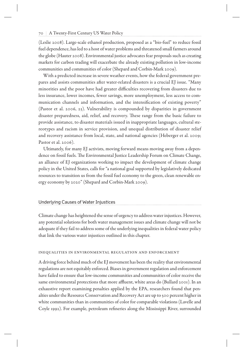(Leslie 2008). Large-scale ethanol production, proposed as a "bio-fuel" to reduce fossil fuel dependence, has led to a host of water problems and threatened small farmers around the globe (Hauter 2008 ). Environmental justice advocates fear proposals such as creating markets for carbon trading will exacerbate the already existing pollution in low-income communities and communities of color (Shepard and Corbin-Mark 2009 ).

 With a predicted increase in severe weather events, how the federal government prepares and assists communities after water-related disasters is a crucial EJ issue. "Many minorities and the poor have had greater difficulties recovering from disasters due to less insurance, lower incomes, fewer savings, more unemployment, less access to communication channels and information, and the intensification of existing poverty" (Pastor et al. 2006, 23). Vulnerability is compounded by disparities in government disaster preparedness, aid, relief, and recovery. These range from the basic failure to provide assistance, to disaster materials issued in inappropriate languages, cultural stereotypes and racism in service provision, and unequal distribution of disaster relief and recovery assistance from local, state, and national agencies (Heberger et al. 2009; Pastor et al. 2006).

 Ultimately, for many EJ activists, moving forward means moving away from a dependence on fossil fuels. The Environmental Justice Leadership Forum on Climate Change, an alliance of EJ organizations working to impact the development of climate change policy in the United States, calls for "a national goal supported by legislatively dedicated resources to transition us from the fossil fuel economy to the green, clean renewable energy economy by 2020" (Shepard and Corbin-Mark 2009 ).

# Underlying Causes of Water Injustices

 Climate change has heightened the sense of urgency to address water injustices. However, any potential solutions for both water management issues and climate change will not be adequate if they fail to address some of the underlying inequalities in federal water policy that link the various water injustices outlined in this chapter.

### Inequalities in environmental regulation and enforcement

 A driving force behind much of the EJ movement has been the reality that environmental regulations are not equitably enforced. Biases in government regulation and enforcement have failed to ensure that low-income communities and communities of color receive the same environmental protections that more affluent, white areas do (Bullard 2001). In an exhaustive report examining penalties applied by the EPA, researchers found that penalties under the Resource Conservation and Recovery Act are up to 500 percent higher in white communities than in communities of color for comparable violations (Lavelle and Coyle 1992). For example, petroleum refineries along the Mississippi River, surrounded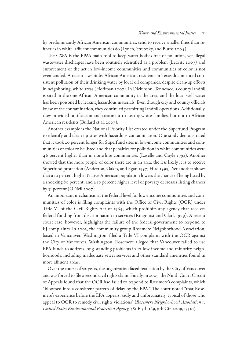by predominantly African American communities, tend to receive smaller fines than refineries in white, affluent communities do (Lynch, Stretesky, and Burns 2004).

The CWA is the EPA's main tool to keep water bodies free of pollution, yet illegal wastewater discharges have been routinely identified as a problem (Leavitt 2007) and enforcement of the act in low-income communities and communities of color is not evenhanded. A recent lawsuit by African American residents in Texas documented consistent pollution of their drinking water by local oil companies, despite clean-up efforts in neighboring, white areas (Hoffman  $2007$ ). In Dickinson, Tennessee, a county landfill is sited in the one African American community in the area, and the local well water has been poisoned by leaking hazardous materials. Even though city and county officials knew of the contamination, they continued permitting landfill operations. Additionally, they provided notification and treatment to nearby white families, but not to African American residents (Bullard et al. 2007 ).

 Another example is the National Priority List created under the Superfund Program to identify and clean up sites with hazardous contamination. One study demonstrated that it took 20 percent longer for Superfund sites in low-income communities and communities of color to be listed and that penalties for pollution in white communities were 46 percent higher than in nonwhite communities (Lavelle and Coyle 1992 ). Another showed that the more people of color there are in an area, the less likely it is to receive Superfund protection (Anderton, Oakes, and Egan 1997; Hird 1993). Yet another shows that a 10 percent higher Native American population lowers the chance of being listed by a shocking 80 percent, and a 10 percent higher level of poverty decreases listing chances by 31 percent (O'Neil 2007).

 An important mechanism at the federal level for low-income communities and communities of color is filing complaints with the Office of Civil Rights (OCR) under Title VI of the Civil Rights Act of 1964, which prohibits any agency that receives federal funding from discrimination in services (Ringquist and Clark 1999 ). A recent court case, however, highlights the failure of the federal government to respond to EJ complaints. In 2003, the community group Rosemere Neighborhood Association, based in Vancouver, Washington, filed a Title VI complaint with the OCR against the City of Vancouver, Washington. Rosemere alleged that Vancouver failed to use EPA funds to address long-standing problems in 17 low-income and minority neighborhoods, including inadequate sewer services and other standard amenities found in more affluent areas.

 Over the course of six years, the organization faced retaliation by the City of Vancouver and was forced to file a second civil rights claim. Finally, in 2009, the Ninth Court Circuit of Appeals found that the OCR had failed to respond to Rosemere's complaints, which "bloomed into a consistent pattern of delay by the EPA." The court noted "that Rosemere's experience before the EPA appears, sadly and unfortunately, typical of those who appeal to OCR to remedy civil rights violations" ( *Rosemere Neighborhood Association v. United States Environmental Protection Agency,* 581 F. 3d 1169, 9th Cir. 2009, 13510).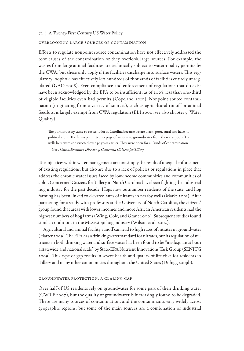# Overlooking large sources of contamination

Efforts to regulate nonpoint source contamination have not effectively addressed the root causes of the contamination or they overlook large sources. For example, the wastes from large animal facilities are technically subject to water-quality permits by the CWA, but these only apply if the facilities discharge into surface waters. This regulatory loophole has effectively left hundreds of thousands of facilities entirely unregulated (GAO 2008). Even compliance and enforcement of regulations that do exist have been acknowledged by the EPA to be insufficient; as of 2008, less than one-third of eligible facilities even had permits (Copeland 2010 ). Nonpoint source contamination (originating from a variety of sources), such as agricultural runoff or animal feedlots, is largely exempt from CWA regulation (ELI 2000 ; see also chapter 5: Water Quality).

The pork industry came to eastern North Carolina because we are black, poor, rural and have no political clout. The farms permitted seepage of waste into groundwater from their cesspools. The wells here were constructed over 50 years earlier. They were open for all kinds of contamination. —Gary Grant, *Executive Director of Concerned Citizens for Tillery*

The injustices within water management are not simply the result of unequal enforcement of existing regulations, but also are due to a lack of policies or regulations in place that address the chronic water issues faced by low-income communities and communities of color. Concerned Citizens for Tillery in North Carolina have been fighting the industrial hog industry for the past decade. Hogs now outnumber residents of the state, and hog farming has been linked to elevated rates of nitrates in nearby wells (Marks 2001). After partnering for a study with professors at the University of North Carolina, the citizens' group found that areas with lower incomes and more African American residents had the highest numbers of hog farms (Wing, Cole, and Grant 2000 ). Subsequent studies found similar conditions in the Mississippi hog industry (Wilson et al. 2002 ).

 Agricultural and animal facility runoff can lead to high rates of nitrates in groundwater (Harter 2009). The EPA has a drinking water standard for nitrates, but its regulation of nutrients in both drinking water and surface water has been found to be "inadequate at both a statewide and national scale" by State-EPA Nutrient Innovations Task Group (SENITG 2009). This type of gap results in severe health and quality-of-life risks for residents in Tillery and many other communities throughout the United States (Duhigg 2009b).

# Groundwater protection: a glaring gap

 Over half of US residents rely on groundwater for some part of their drinking water (GWTF 2007 ), but the quality of groundwater is increasingly found to be degraded. There are many sources of contamination, and the contaminants vary widely across geographic regions, but some of the main sources are a combination of industrial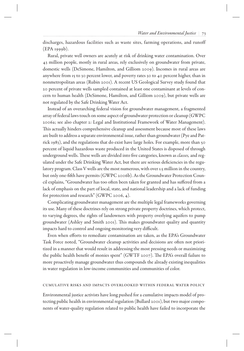discharges, hazardous facilities such as waste sites, farming operations, and runoff (EPA 1999b).

 Rural, private well owners are acutely at risk of drinking water contamination. Over 43 million people, mostly in rural areas, rely exclusively on groundwater from private, domestic wells (DeSimone, Hamilton, and Gilliom 2009). Incomes in rural areas are anywhere from 15 to 30 percent lower, and poverty rates 30 to 40 percent higher, than in nonmetropolitan areas (Rubin 2001). A recent US Geological Survey study found that 20 percent of private wells sampled contained at least one contaminant at levels of concern to human health (DeSimone, Hamilton, and Gilliom 2009 ), but private wells are not regulated by the Safe Drinking Water Act.

 Instead of an overarching federal vision for groundwater management, a fragmented array of federal laws touch on some aspect of groundwater protection or cleanup (GWPC 2006a ; see also chapter 2: Legal and Institutional Framework of Water Management). This actually hinders comprehensive cleanup and assessment because most of these laws are built to address a separate environmental issue, rather than groundwater (Pye and Patrick 1983), and the regulations that do exist have large holes. For example, more than 50 percent of liquid hazardous waste produced in the United States is disposed of through underground wells. These wells are divided into five categories, known as *classes*, and regulated under the Safe Drinking Water Act, but there are serious deficiencies in the regulatory program. Class V wells are the most numerous, with over 1.5 million in the country, but only one-fifth have permits (GWPC 2006b). As the Groundwater Protection Council explains, "Groundwater has too often been taken for granted and has suffered from a lack of emphasis on the part of local, state, and national leadership and a lack of funding for protection and research" (GWPC 2006, 4).

 Complicating groundwater management are the multiple legal frameworks governing its use. Many of these doctrines rely on strong private property doctrines, which protect, to varying degrees, the rights of landowners with property overlying aquifers to pump groundwater (Ashley and Smith 2001). This makes groundwater quality and quantity impacts hard to control and ongoing monitoring very difficult.

Even when efforts to remediate contamination are taken, as the EPA's Groundwater Task Force noted, "Groundwater cleanup activities and decisions are often not prioritized in a manner that would result in addressing the most pressing needs or maximizing the public health benefit of monies spent" (GWTF 2007). The EPA's overall failure to more proactively manage groundwater thus compounds the already existing inequalities in water regulation in low-income communities and communities of color.

# Cumulative risks and impacts overlooked within federal water policy

 Environmental justice activists have long pushed for a cumulative impacts model of protecting public health in environmental regulation (Bullard 2001 ), but two major components of water-quality regulation related to public health have failed to incorporate the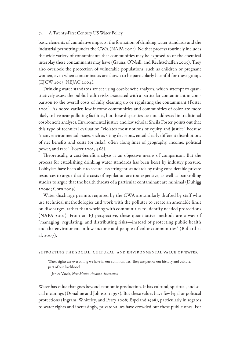basic elements of cumulative impacts: the formation of drinking water standards and the industrial permitting under the CWA (NAPA 2001). Neither process routinely includes the wide variety of contaminants that communities may be exposed to or the chemical interplay these contaminants may have (Gauna, O'Neill, and Rechtschaffen 2005). They also overlook the protection of vulnerable populations, such as children or pregnant women, even when contaminants are shown to be particularly harmful for these groups  $(EICW 2005; NEIAC 2004).$ 

Drinking water standards are set using cost-benefit analyses, which attempt to quantitatively assess the public health risks associated with a particular contaminant in comparison to the overall costs of fully cleaning up or regulating the contaminant (Foster 2002 ). As noted earlier, low-income communities and communities of color are more likely to live near polluting facilities, but these disparities are not addressed in traditional cost-benefit analyses. Environmental justice and law scholar Sheila Foster points out that this type of technical evaluation "violates most notions of equity and justice" because "many environmental issues, such as siting decisions, entail clearly different distributions of net benefits and costs (or risks), often along lines of geography, income, political power, and race" (Foster 2002, 468).

Theoretically, a cost-benefit analysis is an objective means of comparison. But the process for establishing drinking water standards has been beset by industry pressure. Lobbyists have been able to secure less stringent standards by using considerable private resources to argue that the costs of regulation are too expensive, as well as bankrolling studies to argue that the health threats of a particular contaminant are minimal (Duhigg 2009d; Corn 2009).

 Water discharge permits required by the CWA are similarly drafted by staff who use technical methodologies and work with the polluter to create an amenable limit on discharges, rather than working with communities to identify needed protections (NAPA 2001). From an EJ perspective, these quantitative methods are a way of "managing, regulating, and distributing risks—instead of protecting public health and the environment in low income and people of color communities" (Bullard et al. 2007 ).

# Supporting the social, cultural, and environmental value of water

Water rights are everything we have in our communities. They are part of our history and culture, part of our livelihood.

—Janice Varela, *New Mexico Acequia Association*

 Water has value that goes beyond economic production. It has cultural, spiritual, and social meanings (Donahue and Johnston 1998 ). But these values have few legal or political protections (Ingram, Whiteley, and Perry 2008 ; Espeland 1998 ), particularly in regards to water rights and increasingly, private values have crowded out these public ones. For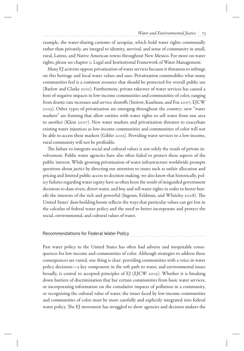# *Water and Environmental Justice* 75

example, the water-sharing customs of acequias, which hold water rights communally rather than privately, are integral to identity, survival, and sense of community in small, rural, Latino, and Native American towns throughout New Mexico. For more on water rights, please see chapter 2: Legal and Institutional Framework of Water Management.

 Many EJ activists oppose privatization of water services because it threatens to infringe on this heritage and local water values and uses. Privatization commodifies what many communities feel is a common resource that should be protected for overall public use (Barlow and Clarke 2001). Furthermore, private takeover of water services has caused a host of negative impacts in low-income communities and communities of color, ranging from drastic rate increases and service shutoffs (Snitow, Kaufman, and Fox 2007; EJCW 2005 ). Other types of privatization are emerging throughout the country; new "water markets" are forming that allow entities with water rights to sell water from one area to another (Klein 2007). New water markets and privatization threaten to exacerbate existing water injustices as low-income communities and communities of color will not be able to access these markets (Gibler 2005). Providing water services to a low-income, rural community will not be profitable.

The failure to integrate social and cultural values is not solely the result of private involvement. Public water agencies have also often failed to protect these aspects of the public interest. While growing privatization of water infrastructure worldwide prompts questions about *justice* by directing our attention to issues such as unfair allocation and pricing and limited public access to decision making, we also know that historically, policy failures regarding water equity have as often been the result of misguided government decisions to dam rivers, divert water, and buy and sell water rights in order to better benefit the interests of the rich and powerful (Ingram, Feldman, and Whiteley 2008). The United States' dam-building boom reflects the ways that particular values can get lost in the calculus of federal water policy and the need to better incorporate and protect the social, environmental, and cultural values of water.

#### Recommendations for Federal Water Policy

Past water policy in the United States has often had adverse and inequitable consequences for low-income and communities of color. Although strategies to address these consequences are varied, one thing is clear: providing communities with a voice in water policy decisions—a key component in the soft path to water, and environmental issues broadly, is central to accepted principles of EJ (EJCW 2005 ). Whether it is breaking down barriers of discrimination that bar certain communities from basic water services, or incorporating information on the cumulative impacts of pollution in a community, or recognizing the cultural value of water, the issues faced by low-income communities and communities of color must be more carefully and explicitly integrated into federal water policy. The EJ movement has struggled to show agencies and decision makers the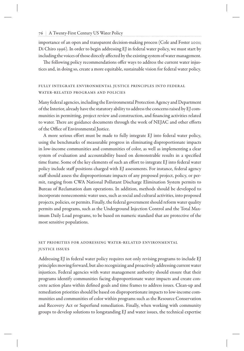importance of an open and transparent decision-making process (Cole and Foster 2001; Di Chiro 1996). In order to begin addressing EJ in federal water policy, we must start by including the voices of those directly affected by the existing system of water management.

The following policy recommendations offer ways to address the current water injustices and, in doing so, create a more equitable, sustainable vision for federal water policy.

# Fully integrate environmental justice principles into federal water-related programs and policies

 Many federal agencies, including the Environmental Protection Agency and Department of the Interior, already have the statutory ability to address the concerns raised by EJ communities in permitting, project review and construction, and financing activities related to water. There are guidance documents through the work of NEJAC and other efforts of the Office of Environmental Justice.

A more serious effort must be made to fully integrate EJ into federal water policy, using the benchmarks of measurable progress in eliminating disproportionate impacts in low-income communities and communities of color, as well as implementing a clear system of evaluation and accountability based on demonstrable results in a specified time frame. Some of the key elements of such an effort to integrate EJ into federal water policy include staff positions charged with EJ assessments. For instance, federal agency staff should assess the disproportionate impacts of any proposed project, policy, or permit, ranging from CWA National Pollutant Discharge Elimination System permits to Bureau of Reclamation dam operations. In addition, methods should be developed to incorporate noneconomic water uses, such as social and cultural activities, into proposed projects, policies, or permits. Finally, the federal government should reform water quality permits and programs, such as the Underground Injection Control and the Total Maximum Daily Load programs, to be based on numeric standard that are protective of the most sensitive populations.

# Set priorities for addressing water-related environmental justice issues

 Addressing EJ in federal water policy requires not only revising programs to include EJ principles moving forward, but also recognizing and proactively addressing current water injustices. Federal agencies with water management authority should ensure that their programs identify communities facing disproportionate water impacts and create concrete action plans within defined goals and time frames to address issues. Clean-up and remediation priorities should be based on disproportionate impacts to low-income communities and communities of color within programs such as the Resource Conservation and Recovery Act or Superfund remediation. Finally, when working with community groups to develop solutions to longstanding EJ and water issues, the technical expertise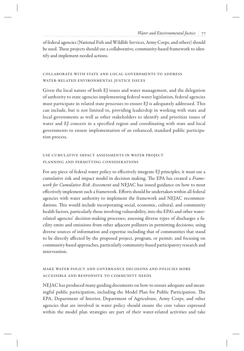of federal agencies (National Fish and Wildlife Services, Army Corps, and others) should be used. These projects should use a collaborative, community-based framework to identify and implement needed actions.

# Collaborate with state and local governments to address water-related environmental justice issues

 Given the local nature of both EJ issues and water management, and the delegation of authority to state agencies implementing federal water legislation, federal agencies must participate in related state processes to ensure EJ is adequately addressed. This can include, but is not limited to, providing leadership in working with state and local governments as well as other stakeholders to identify and prioritize issues of water and EJ concern in a specified region and coordinating with state and local governments to ensure implementation of an enhanced, standard public participation process.

# Use cumulative impact assessments in water project planning and permitting considerations

For any piece of federal water policy to effectively integrate EJ principles, it must use a cumulative risk and impact model in decision making. The EPA has created a *Framework for Cumulative Risk Assessment* and NEJAC has issued guidance on how to most effectively implement such a framework. Efforts should be undertaken within all federal agencies with water authority to implement the framework and NEJAC recommendations. This would include incorporating social, economic, cultural, and community health factors, particularly those involving vulnerability, into the EPA's and other waterrelated agencies' decision-making processes; assessing diverse types of discharges a facility emits and emissions from other adjacent polluters in permitting decisions; using diverse sources of information and expertise including that of communities that stand to be directly affected by the proposed project, program, or permit; and focusing on community-based approaches, particularly community-based participatory research and intervention.

# Make water policy and governance decisions and policies more accessible and responsive to community needs

 NEJAC has produced many guiding documents on how to ensure adequate and meaningful public participation, including the Model Plan for Public Participation. The EPA, Department of Interior, Department of Agriculture, Army Corps, and other agencies that are involved in water policy should ensure the core values expressed within the model plan strategies are part of their water-related activities and take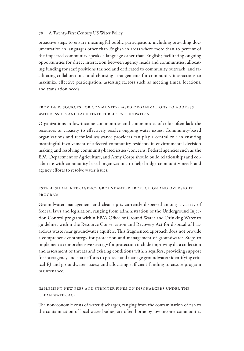proactive steps to ensure meaningful public participation, including providing documentation in languages other than English in areas where more than 10 percent of the impacted community speaks a language other than English; facilitating ongoing opportunities for direct interaction between agency heads and communities, allocating funding for staff positions trained and dedicated to community outreach, and facilitating collaborations; and choosing arrangements for community interactions to maximize effective participation, assessing factors such as meeting times, locations, and translation needs.

# Provide resources for community-based organizations to address water issues and facilitate public participation

Organizations in low-income communities and communities of color often lack the resources or capacity to effectively resolve ongoing water issues. Community-based organizations and technical assistance providers can play a central role in ensuring meaningful involvement of affected community residents in environmental decision making and resolving community-based issues/concerns. Federal agencies such as the EPA, Department of Agriculture, and Army Corps should build relationships and collaborate with community-based organizations to help bridge community needs and agency efforts to resolve water issues.

# Establish an interagency groundwater protection and oversight program

 Groundwater management and clean-up is currently dispersed among a variety of federal laws and legislation, ranging from administration of the Underground Injection Control program within EPA's Office of Ground Water and Drinking Water to guidelines within the Resource Conservation and Recovery Act for disposal of hazardous waste near groundwater aquifers. This fragmented approach does not provide a comprehensive strategy for protection and management of groundwater. Steps to implement a comprehensive strategy for protection include improving data collection and assessment of threats and existing conditions within aquifers; providing support for interagency and state efforts to protect and manage groundwater; identifying critical EJ and groundwater issues; and allocating sufficient funding to ensure program maintenance.

# Implement new fees and stricter fines on dischargers under the Clean Water Act

The noneconomic costs of water discharges, ranging from the contamination of fish to the contamination of local water bodies, are often borne by low-income communities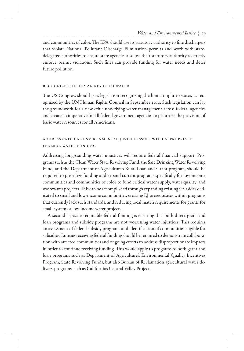and communities of color. The EPA should use its statutory authority to fine dischargers that violate National Pollutant Discharge Elimination permits and work with statedelegated authorities to ensure state agencies also use their statutory authority to strictly enforce permit violations. Such fines can provide funding for water needs and deter future pollution.

# Recognize the Human Right to Water

The US Congress should pass legislation recognizing the human right to water, as recognized by the UN Human Rights Council in September 2010. Such legislation can lay the groundwork for a new ethic underlying water management across federal agencies and create an imperative for all federal government agencies to prioritize the provision of basic water resources for all Americans.

# Address critical environmental justice issues with appropriate federal water funding

Addressing long-standing water injustices will require federal financial support. Programs such as the Clean Water State Revolving Fund, the Safe Drinking Water Revolving Fund, and the Department of Agriculture's Rural Loan and Grant program, should be required to prioritize funding and expand current programs specifically for low-income communities and communities of color to fund critical water supply, water quality, and wastewater projects. This can be accomplished through expanding existing set-asides dedicated to small and low-income communities, creating EJ prerequisites within programs that currently lack such standards, and reducing local match requirements for grants for small-system or low-income water projects.

 A second aspect to equitable federal funding is ensuring that both direct grant and loan programs and subsidy programs are not worsening water injustices. This requires an assessment of federal subsidy programs and identification of communities eligible for subsidies. Entities receiving federal funding should be required to demonstrate collaboration with affected communities and ongoing efforts to address disproportionate impacts in order to continue receiving funding. This would apply to programs to both grant and loan programs such as Department of Agriculture's Environmental Quality Incentives Program, State Revolving Funds, but also Bureau of Reclamation agricultural water delivery programs such as California's Central Valley Project.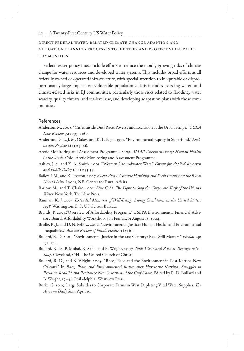# Direct federal water-related climate change adaption and mitigation planning processes to identify and protect vulnerable **COMMUNITIES**

Federal water policy must include efforts to reduce the rapidly growing risks of climate change for water resources and developed water systems. This includes broad efforts at all federally owned or operated infrastructure, with special attention to inequitable or disproportionately large impacts on vulnerable populations. This includes assessing water- and climate-related risks in EJ communities, particularly those risks related to flooding, water scarcity, quality threats, and sea-level rise, and developing adaptation plans with those communities.

#### References

- Anderson, M. 2008. "Cities Inside Out: Race, Poverty and Exclusion at the Urban Fringe." *UCLA Law Review* 55: 1095–1160.
- Anderton, D. L., J. M. Oakes, and K. L. Egan. 1997. "Environmental Equity in Superfund." *Evaluation Review* 21 (1): 3–26.
- Arctic Monitoring and Assessment Programme. 2009. *AMAP Assessment 2009: Human Health in the Arctic* . Oslo: Arctic Monitoring and Assessment Programme.
- Ashley, J. S., and Z. A. Smith. 2001. "Western Groundwater Wars." *Forum for Applied Research and Public Policy* 16. (1): 33-39.
- Bailey, J. M., and K. Preston. 2007. *Swept Away: Chronic Hardship and Fresh Promise on the Rural Great Plains*. Lyons, NE: Center for Rural Affairs.
- Barlow, M., and T. Clarke. 2002. *Blue Gold: The Fight to Stop the Corporate Theft of the World's Water.* New York: The New Press.
- Bauman, K. J. 2003. *Extended Measures of Well-Being: Living Conditions in the United States: 1998* . Washington, DC: US Census Bureau.
- Brandt, P. 2004. Overview of Affordability Programs." USEPA Environmental Financial Advisory Board, Affordability Workshop. San Francisco: August 18, 2004.
- Brulle, R. J., and D. N. Pellow. 2006. "Environmental Justice: Human Health and Environmental Inequalities." *Annual Review of Public Health* 3 (27): 1.
- Bullard, R. D. 2001. "Environmental Justice in the 21st Century: Race Still Matters." *Phylon* 49: 151–171.
- Bullard, R. D., P. Mohai, R. Saha, and B. Wright. 2007. *Toxic Waste and Race at Twenty: 1987–* 2007. Cleveland, OH: The United Church of Christ.
- Bullard, R. D., and B. Wright. 2009. "Race, Place and the Environment in Post-Katrina New Orleans." In *Race, Place and Environmental Justice after Hurricane Katrina: Struggles to Reclaim, Rebuild and Revitalize New Orleans and the Gulf Coast.* Edited by R. D. Bullard and B. Wright, 19–48. Philadelphia: Westview Press.
- Burke, G. 2009. Large Subsides to Corporate Farms in West Depleting Vital Water Supplies. *The Arizona Daily Star,* April 15.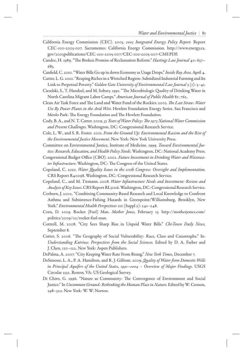- California Energy Commission (CEC). 2005. *2005 Integrated Energy Policy Report.* Report CEC-100-2005-007. Sacramento: California Energy Commission. http://www.energy.ca. gov/2005publications/CEC-100-2005-007/CEC-100-2005-007-CMF.PDF .
- Candee, H. 1989. "The Broken Promise of Reclamation Reform." *Hastings Law Journal* 40: 657-685.
- Canfield, C. 2010. "Water Bills Go up in down Economy as Usage Drops." *Inside Bay Area*. April 4.
- Carter, L. G. 2010. "Reaping Riches in a Wretched Region: Subsidized Industrial Farming and Its Link to Perpetual Poverty." *Golden Gate University of Environmental Law Journal* 3 (1): 5–41.
- Cieselski, S., T. Handzel, and M. Sobsey. 1991. "The Microbiologic Quality of Drinking Water in North Carolina Migrant Labor Camps." *American Journal of Public Health* 81: 762.
- Clean Air Task Force and The Land and Water Fund of the Rockies. 2003. *The Last Straw: Water Use By Power Plants in the Arid West* . Hewlett Foundation Energy Series. San Francisco and Menlo Park: The Energy Foundation and The Hewlett Foundation.
- Cody, B. A., and N. T. Carter. 2009. 35 Years of Water Policy: The 1973 National Water Commission *and Present Challenges* . Washington, DC: Congressional Research Service.
- Cole, L. W., and S. R. Foster. 2001. *From the Ground Up: Environmental Racism and the Rise of the Environmental Justice Movement* . New York: New York University Press.
- Committee on Environmental Justice, Institute of Medicine. 1999. *Toward Environmental Justice: Research, Education, and Health Policy Needs* . Washington, DC: National Academy Press.
- Congressional Budget Office (CBO). 2002. Future Investment in Drinking Water and Wastewater Infrastructure. Washington, DC: The Congress of the United States.
- Copeland, C. 2010. *Water Quality Issues in the 111th Congress: Oversight and Implementation* . CRS Report R40098. Washington, DC: Congressional Research Service.
- Copeland, C., and M. Tiemann. 2008. *Water Infrastructure Needs and Investment: Review and Analysis of Key Issues* . CRS Report RL31116. Washington, DC: Congressional Research Service.
- Corburn, J. 2002. "Combining Community-Based Research and Local Knowledge to Confront Asthma and Subsistence-Fishing Hazards in Greenpoint/Williamsburg, Brooklyn, New York." *Environmental Health Perspectives* 110 (Suppl 2): 241–248.
- Corn, D. 2009. Rocket (Fuel) Man. *Mother Jones,* February 13. http://motherjones.com/ politics/2009/02/rocket-fuel-man .
- Cottrell, M. 2008. "City Sees Sharp Rise in Unpaid Water Bills." *Chi-Town Daily News,* September 8.
- Cutter, S. 2006. "The Geography of Social Vulnerability: Race, Class and Catastrophe." In: Understanding Katrina: Perspectives from the Social Sciences. Edited by D. A. Farber and J. Chen, 120–122. New York: Aspen Publishers.
- DePalma, A. 2007. "City Keeping Water Rate From Rising." *New York Times,* December 7.
- DeSimone, L. A., P. A. Hamilton, and R. J. Gilliom. 2009. *Quality of Water from Domestic Wells in Principal Aquifers of the United States, 1991–2004 – Overview of Major Findings* . USGS Circular 1332. Reston, VA: US Geological Survey.
- Di Chiro, G. 1996. "Nature as Community: The Convergence of Environment and Social Justice." In *Uncommon Ground: Rethinking the Human Place in Nature.* Edited by W. Cronon, 298–320. New York: W. W. Norton.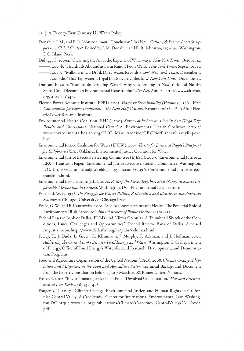- Donahue, J. M., and B. R. Johnston. 1998. "Conclusion." In Water, Culture, & Power: Local Strug*gles in a Global Context.* Edited by J. M. Donahue and B. R. Johnston, 339–346. Washington, DC: Island Press.
- Duhigg, C. 2009a. "Cleansing the Air at the Expense of Waterways." *New York Times,* October 12.
- ——— . 2009b. "Health Ills Abound as Farm Runoff Fouls Wells." *New York Times,* September 17.
- ——— . 2009c. "Millions in US Drink Dirty Water, Records Show." *New York Times,* December 7.
- ——— . 2009de. "Th at Tap Water Is Legal But May Be Unhealthy." *New York Times,* December 17.
- Duncan, B. 2010. "Flammable Drinking Water? Why Gas Drilling in New York and Nearby States Could Become an Environmental Catastrophe." *AlterNet,* April 21. http://www.alternet. org/story/146540/ .
- Electric Power Research Institute (EPRI). 2002. *Water & Sustainability (Volume 3): U.S. Water Consumption for Power Production—The Next Half Century*. Report 1006786. Palo Alto: Electric Power Research Institute.
- Environmental Health Coalition (EHC). 2005. *Survey of Fishers on Piers in San Diego Bay: Results and Conclusions* . National City, CA: Environmental Health Coalition. http:// www.environmentalhealth.org/EHC\_Misc\_Archive/CBCPierFishersSurveyReport. htm .
- Environmental Justice Coalition for Water (EJCW). 2005. *Th irsty for Justice: A People's Blueprint for California Water* . Oakland: Environmental Justice Coalition for Water.
- Environmental Justice Executive Steering Committee (EJESC). 2009. "Environmental Justice at EPA—Transition Paper." Environmental Justice Executive Steering Committee, Washington, DC. http://environmentaljusticeblog.blogspot.com/2009/02/environmental-justice-at-epatransition.html.
- Environmental Law Institute (ELI). 2000. *Putting the Pieces Together: State Nonpoint Source Enforceable Mechanisms in Context* . Washington, DC: Environmental Law Institute.
- Espeland, W. N. 1998. *The Struggle for Water: Politics, Rationality, and Identity in the American Southwest.* Chicago: University of Chicago Press.
- Evans, G. W., and E. Kantrowitz. 2002. "Socioeconomic Status and Health: The Potential Role of Environmental Risk Exposure." *Annual Review of Public Health* 23: 303–331.
- Federal Reserve Bank of Dallas (FRBD). nd. "Texas Colonias: A Thumbnail Sketch of the Conditions, Issues, Challenges and Opportunities." Federal Reserve Bank of Dallas. Accessed August 2, 2009. http://www.dallasfed.org/ca/pubs/colonias.html .
- Feeley, T., J. Duda, L. Green, R. Kleinmann, J. Murphy, T. Ackman, and J. Hoffman. 2005. *Addressing the Critical Links Between Fossil Energy and Water* . Washington, DC: Department of Energy/Office of Fossil Energy's Water-Related Research, Development, and Demonstration Programs.
- Food and Agriculture Organization of the United Nations (FAO). 2008. *Climate Change Adaptation and Mitigation in the Food and Agriculture Sector* . Technical Background Document from the Expert Consultation held on 5 to 7 March 2008. Rome: United Nations.
- Foster, S. 2002. "Environmental Justice in an Era of Devolved Collaboration." *Harvard Environmental Law Review* 26: 459–498.
- Fougères, D. 2007. "Climate Change, Environmental Justice, and Human Rights in California's Central Valley: A Case Study." Center for International Environmental Law, Washington, DC. http://www.ciel.org/Publications/Climate/CaseStudy\_CentralValleyCA\_Nov07. pdf.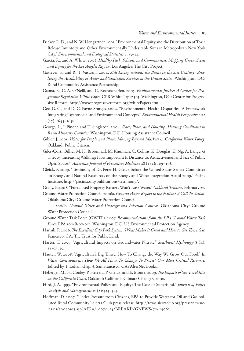- Fricker, R. D., and N. W. Hengartner. 2001. "Environmental Equity and the Distribution of Toxic Release Inventory and Other Environmentally Undesirable Sites in Metropolitan New York City." *Environmental and Ecological Statistics* 8: 33–52.
- García, R., and A. White. 2006. *Healthy Park, Schools, and Communities: Mapping Green Access and Equity for the Los Angeles Region*. Los Angeles: The City Project.
- Gasteyer, S., and R. T. Vaswani. 2004. *Still Living without the Basics in the 21st Century: Analyzing the Availability of Water and Sanitation Services in the United States* . Washington, DC: Rural Community Assistance Partnership.
- Gauna, E., C. A. O'Neill, and C. Rechtschaff en. 2005. *Environmental Justice: A Center for Progressive Regulation White Paper.* CPR White Paper 505. Washington, DC: Center for Progressive Reform. http://www.progressivereform.org/whitePapers.cfm .
- Gee, G. C., and D. C. Payne-Sturges. 2004. "Environmental Health Disparities: A Framework Integrating Psychosocial and Environmental Concepts." *Environmental Health Perspectives* 112  $(17): 1645 - 1653.$
- George, L., J. Pinder, and T. Singleton. 2004. *Race, Place, and Housing: Housing Conditions in Rural Minority Counties* . Washington, DC: Housing Assistance Council.
- Gibler, J. 2005. *Water for People and Place: Moving Beyond Markets in California Water Policy* . Oakland: Public Citizen.
- Giles-Corti, Billie., M. H. Broomhall, M. Knuiman, C. Collins, K. Douglas, K. Ng, A. Lange, et al. 2005. Increasing Walking: How Important Is Distance to, Attractiveness, and Size of Public Open Space?" *American Journal of Preventive Medicine* 28 (2S2): 169–176.
- Gleick, P. 2009. "Testimony of Dr. Peter H. Gleick before the United States Senate Committee on Energy and Natural Resources on the Energy and Water Integration Act of 2009." Pacific Institute. http://pacinst.org/publications/testimony/ .
- Grady, B.2008. "Foreclosed Property Renters Won't Lose Water." *Oakland Tribune* , February 27.
- Ground Water Protection Council. 2006a. *Ground Water Report to the Nation: A Call To Action* . Oklahoma City: Ground Water Protection Council.
- ——— .2006b. *Ground Water and Underground Injection Control* . Oklahoma City: Ground Water Protection Council.
- Ground Water Task Force (GWTF). 2007. Recommendations from the EPA Ground Water Task *Force.* EPA 500-R-07-001. Washington, DC: US Environmental Protection Agency.
- Harnik, P. 2006. *The Excellent City Park System: What Makes It Great and How to Get There*. San Francisco, CA: The Trust for Public Land.
- Harter, T. 2009. "Agricultural Impacts on Groundwater Nitrate." *Southwest Hydrology* 8 (4):  $22 - 23, 35.$
- Hauter, W. 2008. "Agriculture's Big Thirst: How To Change the Way We Grow Our Food." In *Water Consciousness: How We All Have To Change To Protect Our Most Critical Resource.* Edited by T. Lohan, chap. 6. San Francisco, CA: AlterNet Books.
- Heberger, M., H. Cooley, P. Herrera, P. Gleick, and E. Moore. 2009. *The Impacts of Sea-Level Rise on the California Coast* . Oakland: California Climate Change Center.
- Hird, J. A. 1993. "Environmental Policy and Equity: The Case of Superfund." *Journal of Policy Analysis and Management* 12 (2): 323–343.
- Hoffman, D. 2007. "Under Pressure from Citizens, EPA to Provide Water for Oil and Gas-polluted Rural Community." Sierra Club press release. http://texas.sierraclub.org/press/newsreleases/20070615.asp?AID=/20070614/BREAKINGNEWS/70614062 .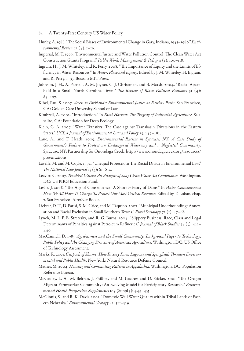- Hurley, A. 1988. "The Social Biases of Environmental Change in Gary, Indiana, 1945–1980." *Environmental Review* 12 (4): 1–19.
- Imperial, M. T. 1999. "Environmental Justice and Water Pollution Control: The Clean Water Act Construction Grants Program." *Public Works Management & Policy* 4 (2): 100–118.
- Ingram, H., J. M. Whiteley, and R. Perry. 2008. "The Importance of Equity and the Limits of Efficiency in Water Resources." In Water, Place and Equity. Edited by J. M. Whiteley, H. Ingram, and R. Perry, 1–33. Boston: MIT Press.
- Johnson, J. H., A. Parnell, A. M. Joyner, C. J. Christman, and B. Marsh. 2004. "Racial Apartheid in a Small North Carolina Town." *The Review of Black Political Economy* 31 (4): 89–107.
- Kibel, Paul S. 2007. *Access to Parklands: Environmental Justice at Eastbay Parks* . San Francisco, CA: Golden Gate University School of Law.
- Kimbrell, A. 2002. "Introduction." In *Fatal Harvest: The Tragedy of Industrial Agriculture*. Sausalito, CA: Foundation for Deep Ecology.
- Klein, C. A. 2007. "Water Transfers: The Case against Transbasin Diversions in the Eastern States." *UCLA Journal of Environmental Law and Policy* 25: 249–282.
- Lane, A., and T. Heath. 2009. *Environmental Racism in Syracuse, NY: A Case Study of Government's Failure to Protect an Endangered Waterway and a Neglected Community.* Syracuse, NY: Partnership for Onondaga Creek. http://www.onondagacreek.org/ resources/ presentations.
- Lavelle, M. and M. Coyle. 1992. "Unequal Protection: The Racial Divide in Environmental Law." *The National Law Journal* 15 (3): S1-S12.
- Leavitt, C. 2007. *Troubled Waters: An Analysis of 2005 Clean Water Act Compliance* . Washington, DC: US PIRG Education Fund.
- Leslie, J. 2008. "The Age of Consequence: A Short History of Dams." In Water Consciousness: *How We All Have To Change To Protect Our Most Critical Resource.* Edited by T. Lohan, chap. 7. San Francisco: AlterNet Books.
- Lichter, D. T., D. Parisi, S. M. Grice, and M. Taquino. 2007. "Municipal Underbounding: Annexation and Racial Exclusion in Small Southern Towns." *Rural Sociology* 72 (1): 47–68.
- Lynch, M. J., P. B. Stretesky, and R. G. Burns. 2004. "Slippery Business: Race, Class and Legal Determinants of Penalties against Petroleum Refineries." *Journal of Black Studies* 34 (3): 421– 440.
- MacCannell, D. 1983. *Agribusiness and the Small Community. Background Paper to Technology,*  Public Policy and the Changing Structure of American Agriculture. Washington, DC: US Office of Technology Assessment.
- Marks, R. 2001. Cesspools of Shame: How Factory Farm Lagoons and Sprayfields Threaten Environ*mental and Public Health* . New York: Natural Resource Defense Council.
- Mather, M. 2004. *Housing and Commuting Patterns in Appalachia* . Washington, DC: Population Reference Bureau.
- McCauley, L. A., M. Beltran, J. Phillips, and M. Lasarev, and D. Sticker. 2001. "The Oregon Migrant Farmworker Community: An Evolving Model for Participatory Research." *Environmental Health Perspectives Supplements* 109 (Suppl 3): 449–455.
- McGinnis, S., and R. K. Davis. 2001. "Domestic Well Water Quality within Tribal Lands of Eastern Nebraska." *Environmental Geology* 41: 321–329.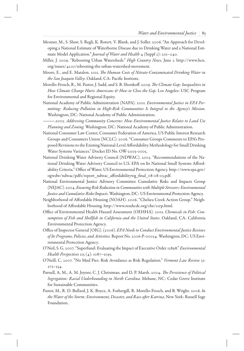- Messner, M., S. Shaw, S. Regli, K. Rotert, V. Blank, and J. Soller. 2006. "An Approach for Developing a National Estimate of Waterborne Disease due to Drinking Water and a National Estimate Model Application." *Journal of Water and Health* 4 (Suppl 2): 201–240.
- Miller, J. 2009. "Rebooting Urban Watersheds." *High Country News,* June 1. http://www.hcn. org/issues/41.10/rebooting-the-urban-watershed-movement .
- Moore, E., and E. Matalon. 2011. *The Human Costs of Nitrate-Contaminated Drinking Water in* the San Joaquin Valley. Oakland, CA: Pacific Institute.
- Morello-Frosch, R., M. Pastor, J. Sadd, and S. B. Shonkoff. 2009. *The Climate Gap: Inequalities in How Climate Change Hurts Americans & How to Close the Gap* . Los Angeles: USC Program for Environmental and Regional Equity.
- National Academy of Public Administration (NAPA). 2001. *Environmental Justice in EPA Permitting: Reducing Pollution in High-Risk Communities Is Integral to the Agency's Mission* . Washington, DC: National Academy of Public Administration.
	- ——— .2003. *Addressing Community Concerns: How Environmental Justice Relates to Land Use Planning and Zoning* . Washington, DC: National Academy of Public Administration.
- National Consumer Law Center, Consumer Federation of America, US Public Interest Research Groups and Consumers Union (NCLC). 2006. "Consumer Groups Comments to EPA's Proposed Revisions to the Existing National-Level Affordability Methodology for Small Drinking Water Systems Variances." Docket ID No. OW-2005-0005.
- National Drinking Water Advisory Council (NDWAC). 2003. "Recommendations of the National Drinking Water Advisory Council to U.S. EPA on Its National Small Systems Affordability Criteria." Office of Water, US Environmental Protection Agency. http://www.epa.gov/ ogwdw/ndwac/pdfs/report\_ndwac\_affordabilitywg\_final\_08-08-03.pdf.
- National Environmental Justice Advisory Committee Cumulative Risks and Impacts Group (NEJAC). 2004. *Ensuring Risk Reduction in Communities with Multiple Stressors: Environmental Justice and Cumulative Risks/Impacts* . Washington, DC: US Environmental Protection Agency.
- Neighborhood of Affordable Housing (NOAH). 2006. "Chelsea Creek Action Group." Neighborhood of Affordable Housing. http://www.noahcdc.org/cbe/ccrp.html.
- Office of Environmental Health Hazard Assessment (OEHHA). 2001. Chemicals in Fish: Consumption of Fish and Shellfish in California and the United States. Oakland, CA: California Environmental Protection Agency.
- Office of Inspector General (OIG). (2006). *EPA Needs to Conduct Environmental Justice Reviews of Its Programs, Policies, and Activities.* Report No. 2006-P-00034. Washington, DC: US Environmental Protection Agency.
- O'Neil, S. G. 2007. "Superfund: Evaluating the Impact of Executive Order 12898." *Environmental Health Perspectives* 115 (4): 1087–1093.
- O'Neill, C. 2007. "No Mud Pies: Risk Avoidance as Risk Regulation." *Vermont Law Review* 31: 273–354.
- Parnell, A. M., A. M. Joyner, C. J. Christman, and D. P. Marsh. 2004. *The Persistence of Political Segregation: Racial Underbounding in North Carolina* . Mebane, NC: Cedar Grove Institute for Sustainable Communities.
- Pastor, M., R. D. Bullard, J. K. Boyce, A. Fothergill, R. Morello-Frosch, and B. Wright. 2006. *In the Water of the Storm: Environment, Disaster, and Race after Katrina*. New York: Russell Sage Foundation.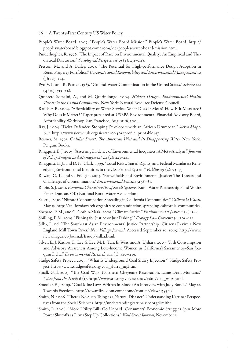- People's Water Board. 2009. "People's Water Board Mission." People's Water Board. http:// peopleswaterboard.blogspot.com/2009/06/peoples-water-board-mission.html .
- Pinderhughes, R. 1996. "The Impact of Race on Environmental Quality: An Empirical and Theoretical Discussion." *Sociological Perspectives* 39 (2): 231–248.
- Preston, M., and A. Bailey. 2003. "The Potential for High-performance Design Adoption in Retail Property Portfolios." *Corporate Social Responsibility and Environmental Management* 10  $(3): 165 - 174.$
- Pye, V. I., and R. Patrick. 1983. "Ground Water Contamination in the United States." *Science* 221  $(4612): 713 - 718.$
- Quintero-Somaini, A., and M. Quirindongo. 2004. *Hidden Danger: Environmental Health Th reats in the Latino Community* . New York: Natural Resource Defense Council.
- Raucher, R. 2004. "Affordability of Water Service: What Does It Mean? How Is It Measured? Why Does It Matter?" Paper presented at USEPA Environmental Financial Advisory Board, Aff ordability Workshop. San Francisco, August 18, 2004.
- Ray, J. 2004. "Delta Defender: Stopping Developers with an 'African Drumbeat.'" *Sierra Maga*zine. http://www.sierraclub.org/sierra/200405/profile\_printable.asp.
- Reisner, M. 1993. *Cadillac Desert: The American West and Its Disappearing Water.* New York: Penguin Books.
- Ringquist, E. J. 2005. "Assessing Evidence of Environmental Inequities: A Meta-Analysis." *Journal of Policy Analysis and Management* 24 (2): 223–247.
- Ringquist, E. J., and D. H. Clark. 1999. "Local Risks, States' Rights, and Federal Mandates: Remedying Environmental Inequities in the U.S. Federal System." *Publius* 29 (2): 73–93.
- Rowan, G. T., and C. Fridgen. 2003. "Brownfields and Environmental Justice: The Threats and Challenges of Contamination." *Environmental Practice* 5: 58–61.
- Rubin, S. J. 2001. *Economic Characteristics of Small Systems* . Rural Water Partnership Fund White Paper. Duncan, OK: National Rural Water Association.
- Scott, J. 2010. "Nitrate Contamination Spreading in California Communities." *California Watch,* May 13. http://californiawatch.org/nitrate-contamination-spreading-california-communities .
- Shepard, P. M., and C. Corbin-Mark. 2009. "Climate Justice." *Environmental Justice* 2 (4): 1–4.
- Shilling, F. M. 2009. "Fishing for Justice or Just Fishing?" *Ecology Law Currents* 36: 205–211.
- Silka, L. nd. "The Southeast Asian Environmental Justice Partnership: Citizens Revive a New England Mill Town River." *New Village Journal* . Accessed September 10, 2009. http://www. newvillage.net/Journal/Issue3/3silka.html.
- Silver, E., J. Kaslow, D. Lee, S. Lee, M. L. Tan, E. Weis, and A. Ujihara. 2007. "Fish Consumption and Advisory Awareness Among Low-Income Women in California's Sacramento–San Joaquin Delta." *Environmental Research* 104 (3): 410–419.
- Sludge Safety Project. 2009. "What Is Underground Coal Slurry Injection?" Sludge Safety Project. http://www.sludgesafety.org/coal\_slurry\_inj.html .
- Small, Gail. 2005. "The Coal Wars: Northern Cheyenne Reservation, Lame Deer, Montana." *Voices from the Earth* 6 (1). http://www.sric.org/voices/2005/v6n1/coal\_wars.html.
- Smecker, F. J. 2009. "Coal Mine Laws Written in Blood: An Interview with Judy Bonds." May 27. Towards Freedom. http://towardfreedom.com/home/content/view/1593/1/ .
- Smith, N. 2006. "There's No Such Thing as a Natural Disaster." Understanding Katrina: Perspectives from the Social Sciences. http://understandingkatrina.ssrc.org/Smith/ .
- Smith, R. 2008. "More Utility Bills Go Unpaid: Consumers' Economic Struggles Spur More Power Shutoffs as Firms Step Up Collections." *Wall Street Journal*, November 3.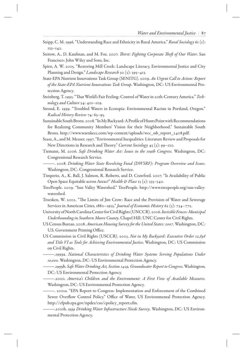- Snipp, C. M. 1996. "Understanding Race and Ethnicity in Rural America." *Rural Sociology* 61 (1): 125–142.
- Snitow, A., D. Kaufman, and M. Fox. 2007. *Thirst: Fighting Corporate Theft of Our Water*. San Francisco: John Wiley and Sons, Inc.
- Spirn, A. W. 2005. "Restoring Mill Creek: Landscape Literacy, Environmental Justice and City Planning and Design." *Landscape Research* 30 (3): 395–413.
- State-EPA Nutrient Innovations Task Group (SENITG). 2009. *An Urgent Call to Action: Report of the State-EPA Nutrient Innovations Task Group* . Washington, DC: US Environmental Protection Agency.
- Steinberg, T. 1993. "That World's Fair Feeling: Control of Water in 20th-Century America." Tech*nology and Culture* 34: 401–109.
- Stroud, E. 1999. "Troubled Waters in Ecotopia: Environmental Racism in Portland, Oregon." *Radical History Review* 74: 65–95.
- Sustainable South Bronx. 2008. "In My Backyard: A Profile of Hunts Point with Recommendations for Realizing Community Members' Vision for their Neighborhood." Sustainable South Bronx. http://www.warnkecc.com/wp-content/uploads/wcc\_ssb\_report\_2408.pdf .
- Szasz, A., and M. Meuser. 1997. "Environmental Inequalities: Literature Review and Proposals for New Directions in Research and Theory." *Current Sociology* 45 (3): 99-120.
- Tiemann, M. 2006. *Safe Drinking Water Act: Issues in the 109th Congress* . Washington, DC: Congressional Research Service.
- ——— . 2008. *Drinking Water State Revolving Fund (DWSRF): Program Overview and Issues* . Washington, DC: Congressional Research Service.
- Timperio, A., K. Ball, J. Salmon, R. Roberts, and D. Crawford. 2007. "Is Availability of Public Open Space Equitable across Areas?" *Health & Place* 13 (2): 335–340.
- TreePeople. 2009. "Sun Valley Watershed." TreePeople. http://www.treepeople.org/sun-valleywatershed.
- Troesken, W. 2002. "The Limits of Jim Crow: Race and the Provision of Water and Sewerage Services in American Cities, 1880–1925." *Journal of Economic History* 62 (3): 734–772.
- University of North Carolina Center for Civil Rights (UNCCR). 2006. *Invisible Fences: Municipal Underbounding in Southern Moore County* . Chapel Hill: UNC Center for Civil Rights.
- US Census Bureau. 2008. *American Housing Survey for the United States: 2007* . Washington, DC: U.S. Government Printing Office.
- US Commission in Civil Rights (USCCR). 2003. *Not in My Backyard: Executive Order 12,898 and Title VI as Tools for Achieving Environmental Justice* . Washington, DC: US Commission on Civil Rights.
	- ——— .1999a. *National Characteristics of Drinking Water Systems Serving Populations Under 10,000.* Washington, DC: US Environmental Protection Agency.
	- ——— .1999b. *Safe Water Drinking Act, Section 1429, Groundwater Report to Congress* . Washington, DC: US Environmental Protection Agency.
- ——— .2000. *America's Children and the Environment: A First View of Available Measures.* Washington, DC: US Environmental Protection Agency.

 ——— . 2001a. "EPA Report to Congress: Implementation and Enforcement of the Combined Sewer Overflow Control Policy." Office of Water, US Environmental Protection Agency. http://cfpub.epa.gov/npdes/cso/cpolicy\_report.cfm .

 ——— .2001b. *1999 Drinking Water Infr astructure Needs Survey.* Washington, DC: US Environmental Protection Agency.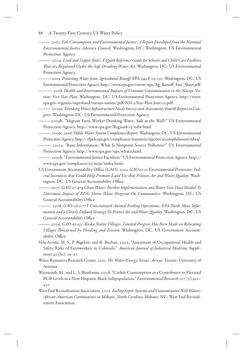——— .2002. *Fish Consumption and Environmental Justice: A Report Developed fr om the National Environmental Justice Advisory Council* . Washington, DC: Washington: US Environmental Protection Agency.

 ——— . 2004. *Lead and Copper Rule: A Quick Reference Guide for Schools and Child Care Facilities That are Regulated Under the Safe Drinking Water Act.* Washington, DC: US Environmental Protection Agency.

 ——— .2005. *Protecting Water fr om Agricultural Runoff* . EPA 941-F-05-001. Washington, DC: US Environmental Protection Agency. http://www.epa.gov/owow/nps/Ag\_Runoff\_Fact\_Sheet.pdf.

- ——— . 2008. *Health and Environmental Impacts of Uranium Contamination in the Navajo Nation: Five Year Plan* . Washington, DC: US Environmental Protection Agency. http://www. epa.gov/region9/superfund/navajo-nation/pdf/NN-5-Year-Plan-June-12.pdf.
- ——— . 2009a. *Drinking Water Infr astructure Needs Survey and Assessment: Fourth Report to Congress* . Washington, DC: US Environmental Protection Agency.
- ——— .2009b. "Migrant Farm Worker Drinking Water: Safe at the Well?" US Environmental Protection Agency. http://www.epa.gov/Region8/ej/mfw.html.

——— . 2009c. *2006: Public Water System Compliance Report.* Washington, DC: US Environmental

Protection Agency. http://cfpub.epa.gov/compliance/resources/reports/accomplishment/sdwa/ . ——— . 2010a. "Basic Information: What Is Nonpoint Source Pollution?" US Environmental Protection Agency. http://www.epa.gov/nps/whatis.html.

 ——— . 2010b. "Environmental Justice Factsheet." US Environmental Protection Agency. http:// www.epa.gov/compliance/ej/nejac/index.html.

US Government Accountability Office (GAO). 2001. GAO 02-12 Environmental Protection: Fed*eral Incentives that Could Help Promote Land Use that Protects Air and Water Quality* . Washington, DC: US General Accountability Office.

 ——— .2007. *GAO-07-479 Clean Water: Further Implementation and Better Cost Data Needed To Determine Impact of EPA's Storm Water Program On Communities* . Washington, DC: US General Accountability Office.

 ——— . 2008. *GAO-08-1177T Concentrated Animal Feeding Operations: EPA Needs More Infor*mation and a Clearly Defined Strategy To Protect Air and Water Quality. Washington, DC: US General Accountability Office.

 ——— .2009. *GAO-09-551 Alaska Native Villages: Limited Progress Has Been Made on Relocating Villages Threatened by Flooding and Erosion*. Washington, DC: US Government Accountability Office.

 Vela-Acosta, M. S., P. Bigelow, and R. Buchan. 2002. "Assessment of Occupational Health and Safety Risks of Farmworkers in Colorado." *American Journal of Industrial Medicine Supplement* 42 (S2): 19–27.

Water Resources Research Center. 2010. *The Water-Energy Nexus. Arroyo*. Tucson: University of Arizona.

Weintraub, M., and L. S. Birnbaum. 2008. "Catfish Consumption as a Contributor to Elevated PCB Levels in a Non-Hispanic Black Subpopulation." *Environmental Research* 107 (3):412– 417.

 West End Revitalization Association. 2002. *Failing Septic Systems and Contaminated Well Waters: Afr ican-American Communities in Mebane, North Carolina* . Mebane, NC: West End Revitalization Association.